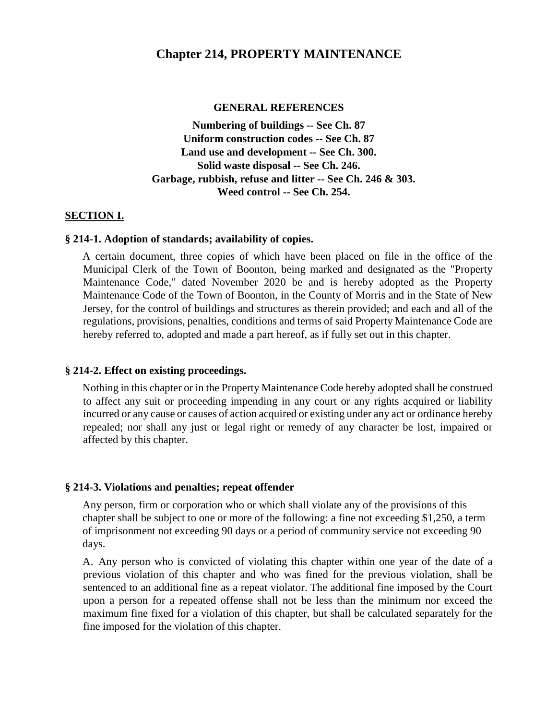#### **Chapter 214, PROPERTY MAINTENANCE**

#### **GENERAL REFERENCES**

**Numbering of buildings -- See Ch. 87 Uniform construction codes -- See Ch. 87 Land use and development -- See Ch. 300. Solid waste disposal -- See Ch. 246. Garbage, rubbish, refuse and litter -- See Ch. 246 & 303. Weed control -- See Ch. 254.** 

#### **SECTION I.**

#### **§ 214-1. Adoption of standards; availability of copies.**

A certain document, three copies of which have been placed on file in the office of the Municipal Clerk of the Town of Boonton, being marked and designated as the "Property Maintenance Code," dated November 2020 be and is hereby adopted as the Property Maintenance Code of the Town of Boonton, in the County of Morris and in the State of New Jersey, for the control of buildings and structures as therein provided; and each and all of the regulations, provisions, penalties, conditions and terms of said Property Maintenance Code are hereby referred to, adopted and made a part hereof, as if fully set out in this chapter.

#### **§ 214-2. Effect on existing proceedings.**

Nothing in this chapter or in the Property Maintenance Code hereby adopted shall be construed to affect any suit or proceeding impending in any court or any rights acquired or liability incurred or any cause or causes of action acquired or existing under any act or ordinance hereby repealed; nor shall any just or legal right or remedy of any character be lost, impaired or affected by this chapter.

#### **§ 214-3. Violations and penalties; repeat offender**

Any person, firm or corporation who or which shall violate any of the provisions of this chapter shall be subject to one or more of the following: a fine not exceeding \$1,250, a term of imprisonment not exceeding 90 days or a period of community service not exceeding 90 days.

A. Any person who is convicted of violating this chapter within one year of the date of a previous violation of this chapter and who was fined for the previous violation, shall be sentenced to an additional fine as a repeat violator. The additional fine imposed by the Court upon a person for a repeated offense shall not be less than the minimum nor exceed the maximum fine fixed for a violation of this chapter, but shall be calculated separately for the fine imposed for the violation of this chapter.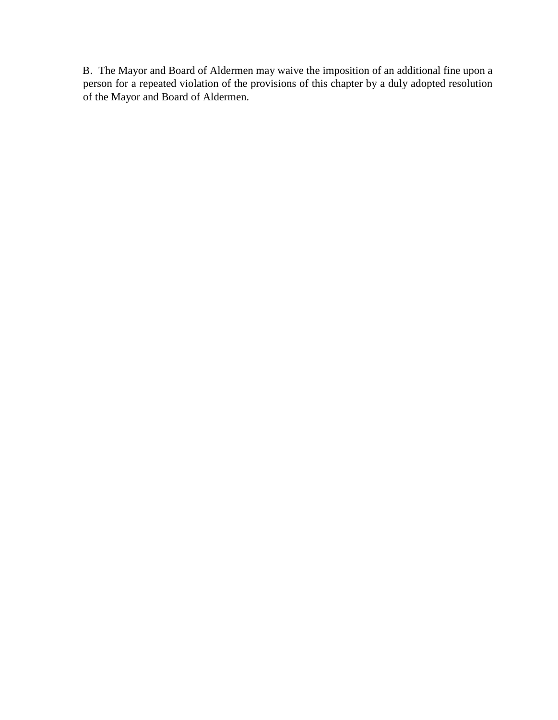B. The Mayor and Board of Aldermen may waive the imposition of an additional fine upon a person for a repeated violation of the provisions of this chapter by a duly adopted resolution of the Mayor and Board of Aldermen.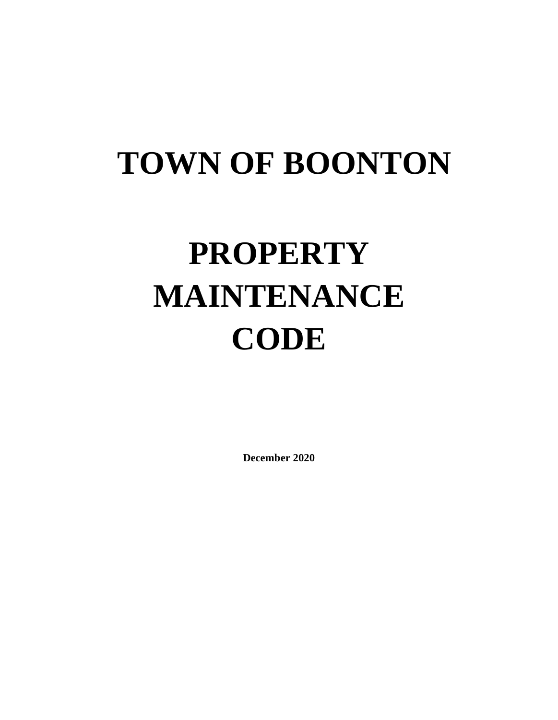# **TOWN OF BOONTON**

# **PROPERTY MAINTENANCE CODE**

**December 2020**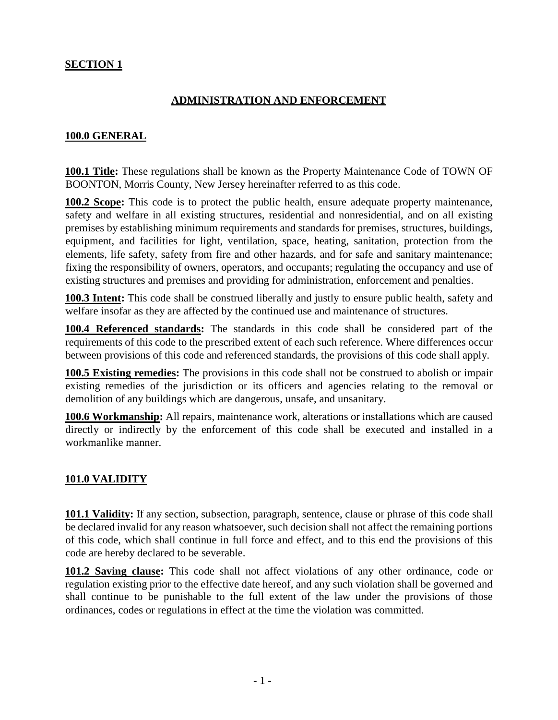#### **SECTION 1**

#### **ADMINISTRATION AND ENFORCEMENT**

#### **100.0 GENERAL**

**100.1 Title:** These regulations shall be known as the Property Maintenance Code of TOWN OF BOONTON, Morris County, New Jersey hereinafter referred to as this code.

**100.2 Scope:** This code is to protect the public health, ensure adequate property maintenance, safety and welfare in all existing structures, residential and nonresidential, and on all existing premises by establishing minimum requirements and standards for premises, structures, buildings, equipment, and facilities for light, ventilation, space, heating, sanitation, protection from the elements, life safety, safety from fire and other hazards, and for safe and sanitary maintenance; fixing the responsibility of owners, operators, and occupants; regulating the occupancy and use of existing structures and premises and providing for administration, enforcement and penalties.

**100.3 Intent:** This code shall be construed liberally and justly to ensure public health, safety and welfare insofar as they are affected by the continued use and maintenance of structures.

**100.4 Referenced standards:** The standards in this code shall be considered part of the requirements of this code to the prescribed extent of each such reference. Where differences occur between provisions of this code and referenced standards, the provisions of this code shall apply.

**100.5 Existing remedies:** The provisions in this code shall not be construed to abolish or impair existing remedies of the jurisdiction or its officers and agencies relating to the removal or demolition of any buildings which are dangerous, unsafe, and unsanitary.

**100.6 Workmanship:** All repairs, maintenance work, alterations or installations which are caused directly or indirectly by the enforcement of this code shall be executed and installed in a workmanlike manner.

#### **101.0 VALIDITY**

**101.1 Validity:** If any section, subsection, paragraph, sentence, clause or phrase of this code shall be declared invalid for any reason whatsoever, such decision shall not affect the remaining portions of this code, which shall continue in full force and effect, and to this end the provisions of this code are hereby declared to be severable.

**101.2 Saving clause:** This code shall not affect violations of any other ordinance, code or regulation existing prior to the effective date hereof, and any such violation shall be governed and shall continue to be punishable to the full extent of the law under the provisions of those ordinances, codes or regulations in effect at the time the violation was committed.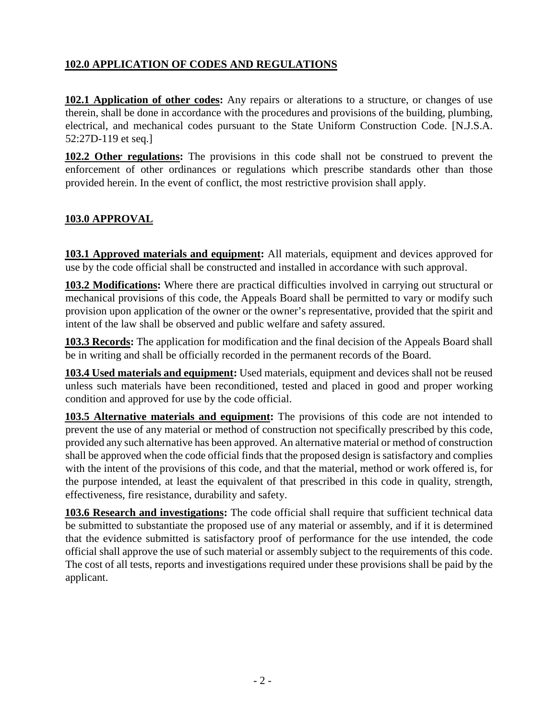#### **102.0 APPLICATION OF CODES AND REGULATIONS**

**102.1 Application of other codes:** Any repairs or alterations to a structure, or changes of use therein, shall be done in accordance with the procedures and provisions of the building, plumbing, electrical, and mechanical codes pursuant to the State Uniform Construction Code. [N.J.S.A. 52:27D-119 et seq.]

**102.2 Other regulations:** The provisions in this code shall not be construed to prevent the enforcement of other ordinances or regulations which prescribe standards other than those provided herein. In the event of conflict, the most restrictive provision shall apply.

# **103.0 APPROVAL**

**103.1 Approved materials and equipment:** All materials, equipment and devices approved for use by the code official shall be constructed and installed in accordance with such approval.

**103.2 Modifications:** Where there are practical difficulties involved in carrying out structural or mechanical provisions of this code, the Appeals Board shall be permitted to vary or modify such provision upon application of the owner or the owner's representative, provided that the spirit and intent of the law shall be observed and public welfare and safety assured.

**103.3 Records:** The application for modification and the final decision of the Appeals Board shall be in writing and shall be officially recorded in the permanent records of the Board.

**103.4 Used materials and equipment:** Used materials, equipment and devices shall not be reused unless such materials have been reconditioned, tested and placed in good and proper working condition and approved for use by the code official.

**103.5 Alternative materials and equipment:** The provisions of this code are not intended to prevent the use of any material or method of construction not specifically prescribed by this code, provided any such alternative has been approved. An alternative material or method of construction shall be approved when the code official finds that the proposed design is satisfactory and complies with the intent of the provisions of this code, and that the material, method or work offered is, for the purpose intended, at least the equivalent of that prescribed in this code in quality, strength, effectiveness, fire resistance, durability and safety.

**103.6 Research and investigations:** The code official shall require that sufficient technical data be submitted to substantiate the proposed use of any material or assembly, and if it is determined that the evidence submitted is satisfactory proof of performance for the use intended, the code official shall approve the use of such material or assembly subject to the requirements of this code. The cost of all tests, reports and investigations required under these provisions shall be paid by the applicant.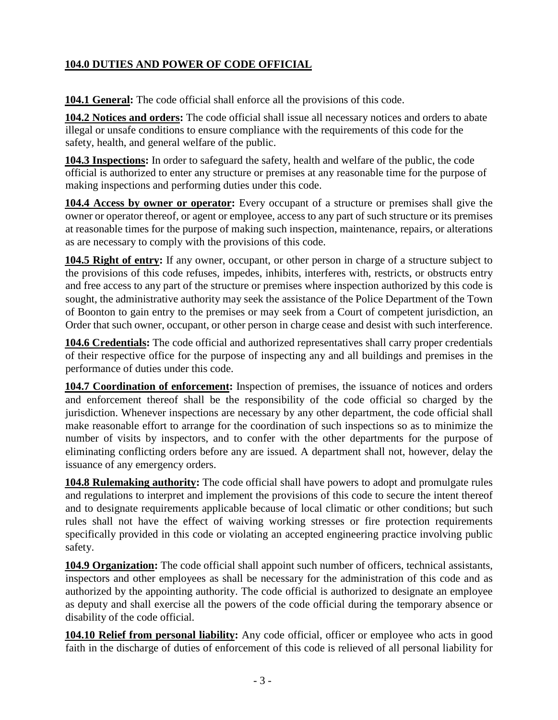# **104.0 DUTIES AND POWER OF CODE OFFICIAL**

**104.1 General:** The code official shall enforce all the provisions of this code.

**104.2 Notices and orders:** The code official shall issue all necessary notices and orders to abate illegal or unsafe conditions to ensure compliance with the requirements of this code for the safety, health, and general welfare of the public.

**104.3 Inspections:** In order to safeguard the safety, health and welfare of the public, the code official is authorized to enter any structure or premises at any reasonable time for the purpose of making inspections and performing duties under this code.

**104.4 Access by owner or operator:** Every occupant of a structure or premises shall give the owner or operator thereof, or agent or employee, access to any part of such structure or its premises at reasonable times for the purpose of making such inspection, maintenance, repairs, or alterations as are necessary to comply with the provisions of this code.

**104.5 Right of entry:** If any owner, occupant, or other person in charge of a structure subject to the provisions of this code refuses, impedes, inhibits, interferes with, restricts, or obstructs entry and free access to any part of the structure or premises where inspection authorized by this code is sought, the administrative authority may seek the assistance of the Police Department of the Town of Boonton to gain entry to the premises or may seek from a Court of competent jurisdiction, an Order that such owner, occupant, or other person in charge cease and desist with such interference.

**104.6 Credentials:** The code official and authorized representatives shall carry proper credentials of their respective office for the purpose of inspecting any and all buildings and premises in the performance of duties under this code.

**104.7 Coordination of enforcement:** Inspection of premises, the issuance of notices and orders and enforcement thereof shall be the responsibility of the code official so charged by the jurisdiction. Whenever inspections are necessary by any other department, the code official shall make reasonable effort to arrange for the coordination of such inspections so as to minimize the number of visits by inspectors, and to confer with the other departments for the purpose of eliminating conflicting orders before any are issued. A department shall not, however, delay the issuance of any emergency orders.

**104.8 Rulemaking authority:** The code official shall have powers to adopt and promulgate rules and regulations to interpret and implement the provisions of this code to secure the intent thereof and to designate requirements applicable because of local climatic or other conditions; but such rules shall not have the effect of waiving working stresses or fire protection requirements specifically provided in this code or violating an accepted engineering practice involving public safety.

**104.9 Organization:** The code official shall appoint such number of officers, technical assistants, inspectors and other employees as shall be necessary for the administration of this code and as authorized by the appointing authority. The code official is authorized to designate an employee as deputy and shall exercise all the powers of the code official during the temporary absence or disability of the code official.

**104.10 Relief from personal liability:** Any code official, officer or employee who acts in good faith in the discharge of duties of enforcement of this code is relieved of all personal liability for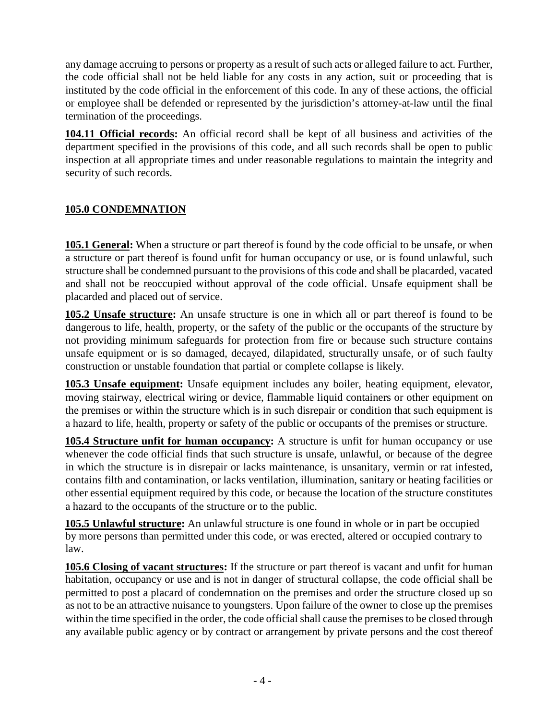any damage accruing to persons or property as a result of such acts or alleged failure to act. Further, the code official shall not be held liable for any costs in any action, suit or proceeding that is instituted by the code official in the enforcement of this code. In any of these actions, the official or employee shall be defended or represented by the jurisdiction's attorney-at-law until the final termination of the proceedings.

**104.11 Official records:** An official record shall be kept of all business and activities of the department specified in the provisions of this code, and all such records shall be open to public inspection at all appropriate times and under reasonable regulations to maintain the integrity and security of such records.

# **105.0 CONDEMNATION**

**105.1 General:** When a structure or part thereof is found by the code official to be unsafe, or when a structure or part thereof is found unfit for human occupancy or use, or is found unlawful, such structure shall be condemned pursuant to the provisions of this code and shall be placarded, vacated and shall not be reoccupied without approval of the code official. Unsafe equipment shall be placarded and placed out of service.

**105.2 Unsafe structure:** An unsafe structure is one in which all or part thereof is found to be dangerous to life, health, property, or the safety of the public or the occupants of the structure by not providing minimum safeguards for protection from fire or because such structure contains unsafe equipment or is so damaged, decayed, dilapidated, structurally unsafe, or of such faulty construction or unstable foundation that partial or complete collapse is likely.

**105.3 Unsafe equipment:** Unsafe equipment includes any boiler, heating equipment, elevator, moving stairway, electrical wiring or device, flammable liquid containers or other equipment on the premises or within the structure which is in such disrepair or condition that such equipment is a hazard to life, health, property or safety of the public or occupants of the premises or structure.

**105.4 Structure unfit for human occupancy:** A structure is unfit for human occupancy or use whenever the code official finds that such structure is unsafe, unlawful, or because of the degree in which the structure is in disrepair or lacks maintenance, is unsanitary, vermin or rat infested, contains filth and contamination, or lacks ventilation, illumination, sanitary or heating facilities or other essential equipment required by this code, or because the location of the structure constitutes a hazard to the occupants of the structure or to the public.

**105.5 Unlawful structure:** An unlawful structure is one found in whole or in part be occupied by more persons than permitted under this code, or was erected, altered or occupied contrary to law.

**105.6 Closing of vacant structures:** If the structure or part thereof is vacant and unfit for human habitation, occupancy or use and is not in danger of structural collapse, the code official shall be permitted to post a placard of condemnation on the premises and order the structure closed up so as not to be an attractive nuisance to youngsters. Upon failure of the owner to close up the premises within the time specified in the order, the code official shall cause the premises to be closed through any available public agency or by contract or arrangement by private persons and the cost thereof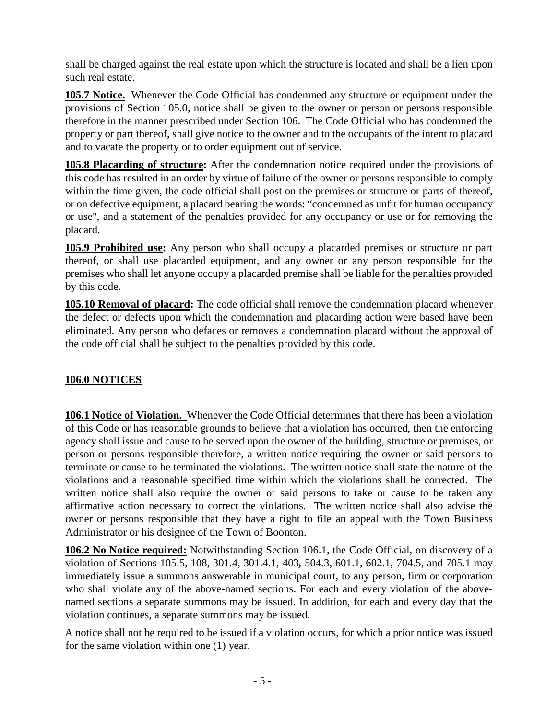shall be charged against the real estate upon which the structure is located and shall be a lien upon such real estate.

**105.7 Notice.** Whenever the Code Official has condemned any structure or equipment under the provisions of Section 105.0, notice shall be given to the owner or person or persons responsible therefore in the manner prescribed under Section 106. The Code Official who has condemned the property or part thereof, shall give notice to the owner and to the occupants of the intent to placard and to vacate the property or to order equipment out of service.

**105.8 Placarding of structure:** After the condemnation notice required under the provisions of this code has resulted in an order by virtue of failure of the owner or persons responsible to comply within the time given, the code official shall post on the premises or structure or parts of thereof, or on defective equipment, a placard bearing the words: "condemned as unfit for human occupancy or use", and a statement of the penalties provided for any occupancy or use or for removing the placard.

**105.9 Prohibited use:** Any person who shall occupy a placarded premises or structure or part thereof, or shall use placarded equipment, and any owner or any person responsible for the premises who shall let anyone occupy a placarded premise shall be liable for the penalties provided by this code.

**105.10 Removal of placard:** The code official shall remove the condemnation placard whenever the defect or defects upon which the condemnation and placarding action were based have been eliminated. Any person who defaces or removes a condemnation placard without the approval of the code official shall be subject to the penalties provided by this code.

# **106.0 NOTICES**

**106.1 Notice of Violation.** Whenever the Code Official determines that there has been a violation of this Code or has reasonable grounds to believe that a violation has occurred, then the enforcing agency shall issue and cause to be served upon the owner of the building, structure or premises, or person or persons responsible therefore, a written notice requiring the owner or said persons to terminate or cause to be terminated the violations. The written notice shall state the nature of the violations and a reasonable specified time within which the violations shall be corrected. The written notice shall also require the owner or said persons to take or cause to be taken any affirmative action necessary to correct the violations. The written notice shall also advise the owner or persons responsible that they have a right to file an appeal with the Town Business Administrator or his designee of the Town of Boonton.

**106.2 No Notice required:** Notwithstanding Section 106.1, the Code Official, on discovery of a violation of Sections 105.5, 108, 301.4, 301.4.1, 403*,* 504.3, 601.1, 602.1, 704.5, and 705.1 may immediately issue a summons answerable in municipal court, to any person, firm or corporation who shall violate any of the above-named sections. For each and every violation of the abovenamed sections a separate summons may be issued. In addition, for each and every day that the violation continues, a separate summons may be issued.

A notice shall not be required to be issued if a violation occurs, for which a prior notice was issued for the same violation within one (1) year.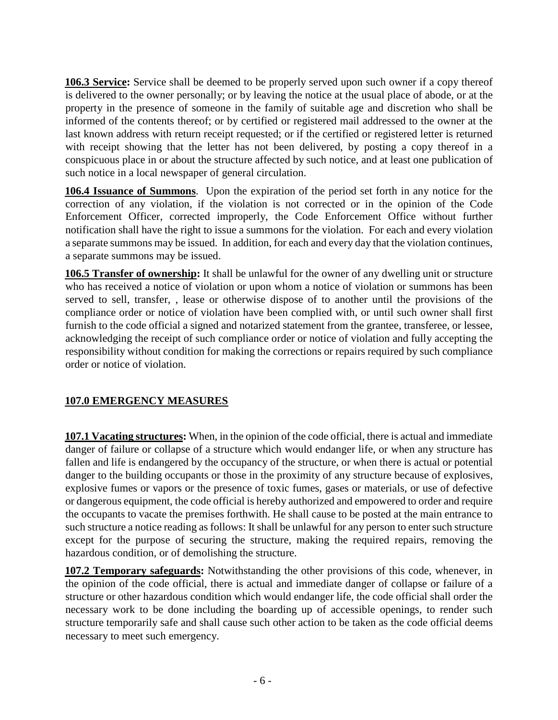**106.3 Service:** Service shall be deemed to be properly served upon such owner if a copy thereof is delivered to the owner personally; or by leaving the notice at the usual place of abode, or at the property in the presence of someone in the family of suitable age and discretion who shall be informed of the contents thereof; or by certified or registered mail addressed to the owner at the last known address with return receipt requested; or if the certified or registered letter is returned with receipt showing that the letter has not been delivered, by posting a copy thereof in a conspicuous place in or about the structure affected by such notice, and at least one publication of such notice in a local newspaper of general circulation.

**106.4 Issuance of Summons**. Upon the expiration of the period set forth in any notice for the correction of any violation, if the violation is not corrected or in the opinion of the Code Enforcement Officer, corrected improperly, the Code Enforcement Office without further notification shall have the right to issue a summons for the violation. For each and every violation a separate summons may be issued. In addition, for each and every day that the violation continues, a separate summons may be issued.

**106.5 Transfer of ownership:** It shall be unlawful for the owner of any dwelling unit or structure who has received a notice of violation or upon whom a notice of violation or summons has been served to sell, transfer, , lease or otherwise dispose of to another until the provisions of the compliance order or notice of violation have been complied with, or until such owner shall first furnish to the code official a signed and notarized statement from the grantee, transferee, or lessee, acknowledging the receipt of such compliance order or notice of violation and fully accepting the responsibility without condition for making the corrections or repairs required by such compliance order or notice of violation.

#### **107.0 EMERGENCY MEASURES**

**107.1 Vacating structures:** When, in the opinion of the code official, there is actual and immediate danger of failure or collapse of a structure which would endanger life, or when any structure has fallen and life is endangered by the occupancy of the structure, or when there is actual or potential danger to the building occupants or those in the proximity of any structure because of explosives, explosive fumes or vapors or the presence of toxic fumes, gases or materials, or use of defective or dangerous equipment, the code official is hereby authorized and empowered to order and require the occupants to vacate the premises forthwith. He shall cause to be posted at the main entrance to such structure a notice reading as follows: It shall be unlawful for any person to enter such structure except for the purpose of securing the structure, making the required repairs, removing the hazardous condition, or of demolishing the structure.

**107.2 Temporary safeguards:** Notwithstanding the other provisions of this code, whenever, in the opinion of the code official, there is actual and immediate danger of collapse or failure of a structure or other hazardous condition which would endanger life, the code official shall order the necessary work to be done including the boarding up of accessible openings, to render such structure temporarily safe and shall cause such other action to be taken as the code official deems necessary to meet such emergency.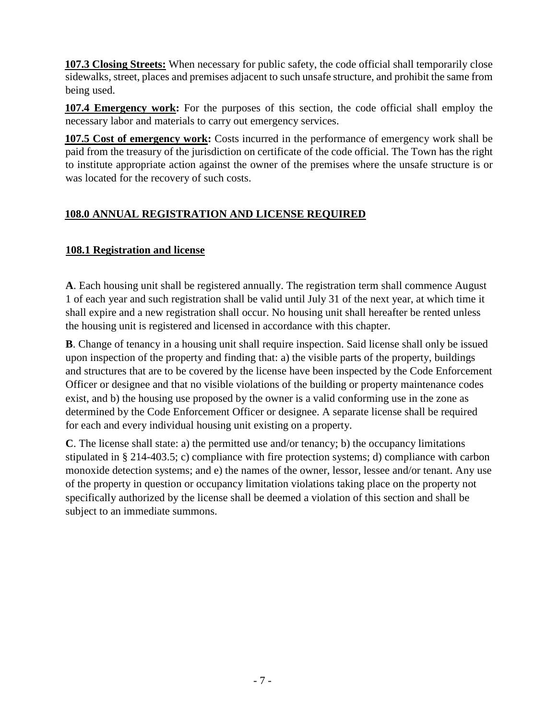**107.3 Closing Streets:** When necessary for public safety, the code official shall temporarily close sidewalks, street, places and premises adjacent to such unsafe structure, and prohibit the same from being used.

**107.4 Emergency work:** For the purposes of this section, the code official shall employ the necessary labor and materials to carry out emergency services.

**107.5 Cost of emergency work:** Costs incurred in the performance of emergency work shall be paid from the treasury of the jurisdiction on certificate of the code official. The Town has the right to institute appropriate action against the owner of the premises where the unsafe structure is or was located for the recovery of such costs.

# **108.0 ANNUAL REGISTRATION AND LICENSE REQUIRED**

#### **108.1 Registration and license**

**A**. Each housing unit shall be registered annually. The registration term shall commence August 1 of each year and such registration shall be valid until July 31 of the next year, at which time it shall expire and a new registration shall occur. No housing unit shall hereafter be rented unless the housing unit is registered and licensed in accordance with this chapter.

**B**. Change of tenancy in a housing unit shall require inspection. Said license shall only be issued upon inspection of the property and finding that: a) the visible parts of the property, buildings and structures that are to be covered by the license have been inspected by the Code Enforcement Officer or designee and that no visible violations of the building or property maintenance codes exist, and b) the housing use proposed by the owner is a valid conforming use in the zone as determined by the Code Enforcement Officer or designee. A separate license shall be required for each and every individual housing unit existing on a property.

**C**. The license shall state: a) the permitted use and/or tenancy; b) the occupancy limitations stipulated in § 214-403.5; c) compliance with fire protection systems; d) compliance with carbon monoxide detection systems; and e) the names of the owner, lessor, lessee and/or tenant. Any use of the property in question or occupancy limitation violations taking place on the property not specifically authorized by the license shall be deemed a violation of this section and shall be subject to an immediate summons.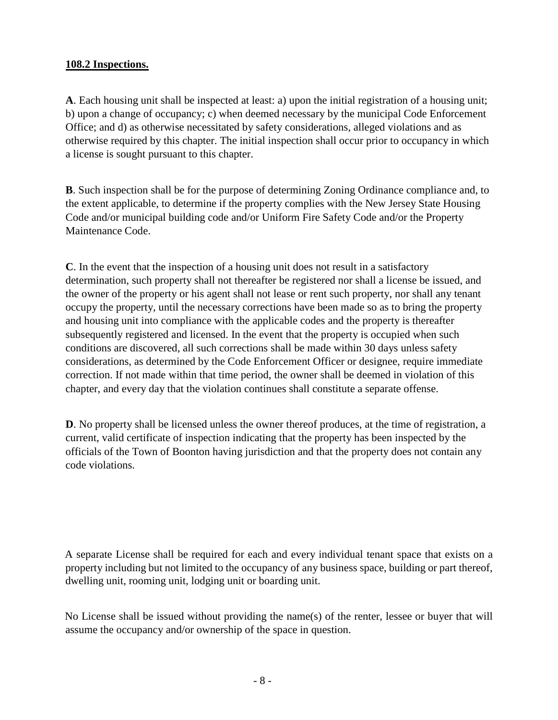#### **108.2 Inspections.**

**A**. Each housing unit shall be inspected at least: a) upon the initial registration of a housing unit; b) upon a change of occupancy; c) when deemed necessary by the municipal Code Enforcement Office; and d) as otherwise necessitated by safety considerations, alleged violations and as otherwise required by this chapter. The initial inspection shall occur prior to occupancy in which a license is sought pursuant to this chapter.

**B**. Such inspection shall be for the purpose of determining Zoning Ordinance compliance and, to the extent applicable, to determine if the property complies with the New Jersey State Housing Code and/or municipal building code and/or Uniform Fire Safety Code and/or the Property Maintenance Code.

**C**. In the event that the inspection of a housing unit does not result in a satisfactory determination, such property shall not thereafter be registered nor shall a license be issued, and the owner of the property or his agent shall not lease or rent such property, nor shall any tenant occupy the property, until the necessary corrections have been made so as to bring the property and housing unit into compliance with the applicable codes and the property is thereafter subsequently registered and licensed. In the event that the property is occupied when such conditions are discovered, all such corrections shall be made within 30 days unless safety considerations, as determined by the Code Enforcement Officer or designee, require immediate correction. If not made within that time period, the owner shall be deemed in violation of this chapter, and every day that the violation continues shall constitute a separate offense.

**D**. No property shall be licensed unless the owner thereof produces, at the time of registration, a current, valid certificate of inspection indicating that the property has been inspected by the officials of the Town of Boonton having jurisdiction and that the property does not contain any code violations.

A separate License shall be required for each and every individual tenant space that exists on a property including but not limited to the occupancy of any business space, building or part thereof, dwelling unit, rooming unit, lodging unit or boarding unit.

No License shall be issued without providing the name(s) of the renter, lessee or buyer that will assume the occupancy and/or ownership of the space in question.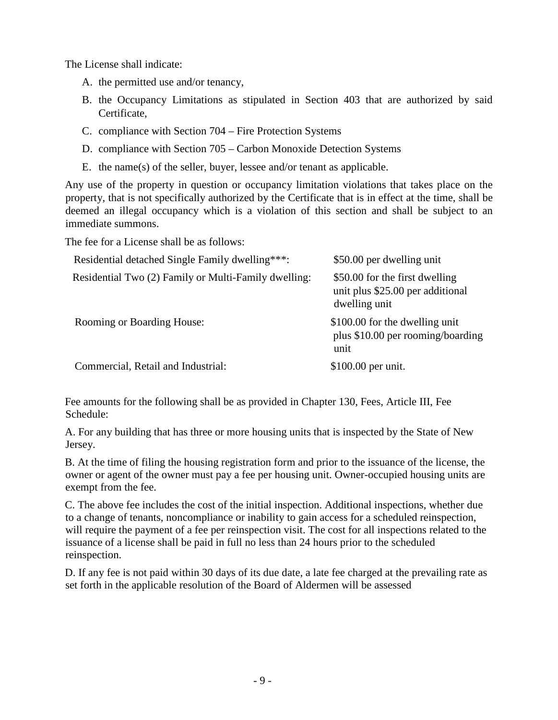The License shall indicate:

- A. the permitted use and/or tenancy,
- B. the Occupancy Limitations as stipulated in Section 403 that are authorized by said Certificate,
- C. compliance with Section 704 Fire Protection Systems
- D. compliance with Section 705 Carbon Monoxide Detection Systems
- E. the name(s) of the seller, buyer, lessee and/or tenant as applicable.

Any use of the property in question or occupancy limitation violations that takes place on the property, that is not specifically authorized by the Certificate that is in effect at the time, shall be deemed an illegal occupancy which is a violation of this section and shall be subject to an immediate summons.

The fee for a License shall be as follows:

| Residential detached Single Family dwelling***:      | \$50.00 per dwelling unit                                                           |
|------------------------------------------------------|-------------------------------------------------------------------------------------|
| Residential Two (2) Family or Multi-Family dwelling: | \$50.00 for the first dwelling<br>unit plus \$25.00 per additional<br>dwelling unit |
| <b>Rooming or Boarding House:</b>                    | \$100.00 for the dwelling unit<br>plus \$10.00 per rooming/boarding<br>unit         |
| Commercial, Retail and Industrial:                   | $$100.00$ per unit.                                                                 |

Fee amounts for the following shall be as provided in Chapter 130, Fees, Article III, Fee Schedule:

A. For any building that has three or more housing units that is inspected by the State of New Jersey.

B. At the time of filing the housing registration form and prior to the issuance of the license, the owner or agent of the owner must pay a fee per housing unit. Owner-occupied housing units are exempt from the fee.

C. The above fee includes the cost of the initial inspection. Additional inspections, whether due to a change of tenants, noncompliance or inability to gain access for a scheduled reinspection, will require the payment of a fee per reinspection visit. The cost for all inspections related to the issuance of a license shall be paid in full no less than 24 hours prior to the scheduled reinspection.

D. If any fee is not paid within 30 days of its due date, a late fee charged at the prevailing rate as set forth in the applicable resolution of the Board of Aldermen will be assessed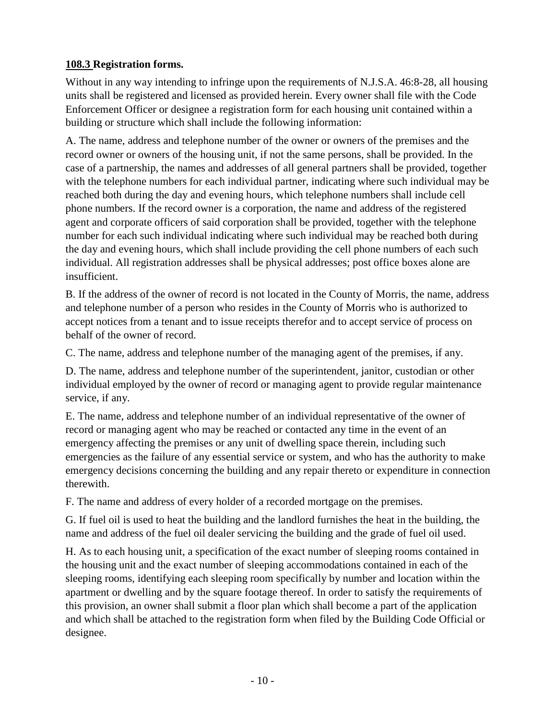#### **108.3 Registration forms.**

Without in any way intending to infringe upon the requirements of N.J.S.A. 46:8-28, all housing units shall be registered and licensed as provided herein. Every owner shall file with the Code Enforcement Officer or designee a registration form for each housing unit contained within a building or structure which shall include the following information:

A. The name, address and telephone number of the owner or owners of the premises and the record owner or owners of the housing unit, if not the same persons, shall be provided. In the case of a partnership, the names and addresses of all general partners shall be provided, together with the telephone numbers for each individual partner, indicating where such individual may be reached both during the day and evening hours, which telephone numbers shall include cell phone numbers. If the record owner is a corporation, the name and address of the registered agent and corporate officers of said corporation shall be provided, together with the telephone number for each such individual indicating where such individual may be reached both during the day and evening hours, which shall include providing the cell phone numbers of each such individual. All registration addresses shall be physical addresses; post office boxes alone are insufficient.

B. If the address of the owner of record is not located in the County of Morris, the name, address and telephone number of a person who resides in the County of Morris who is authorized to accept notices from a tenant and to issue receipts therefor and to accept service of process on behalf of the owner of record.

C. The name, address and telephone number of the managing agent of the premises, if any.

D. The name, address and telephone number of the superintendent, janitor, custodian or other individual employed by the owner of record or managing agent to provide regular maintenance service, if any.

E. The name, address and telephone number of an individual representative of the owner of record or managing agent who may be reached or contacted any time in the event of an emergency affecting the premises or any unit of dwelling space therein, including such emergencies as the failure of any essential service or system, and who has the authority to make emergency decisions concerning the building and any repair thereto or expenditure in connection therewith.

F. The name and address of every holder of a recorded mortgage on the premises.

G. If fuel oil is used to heat the building and the landlord furnishes the heat in the building, the name and address of the fuel oil dealer servicing the building and the grade of fuel oil used.

H. As to each housing unit, a specification of the exact number of sleeping rooms contained in the housing unit and the exact number of sleeping accommodations contained in each of the sleeping rooms, identifying each sleeping room specifically by number and location within the apartment or dwelling and by the square footage thereof. In order to satisfy the requirements of this provision, an owner shall submit a floor plan which shall become a part of the application and which shall be attached to the registration form when filed by the Building Code Official or designee.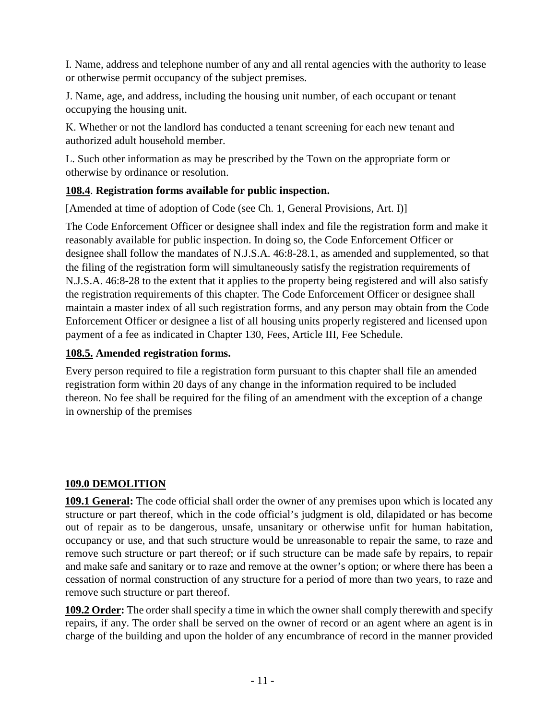I. Name, address and telephone number of any and all rental agencies with the authority to lease or otherwise permit occupancy of the subject premises.

J. Name, age, and address, including the housing unit number, of each occupant or tenant occupying the housing unit.

K. Whether or not the landlord has conducted a tenant screening for each new tenant and authorized adult household member.

L. Such other information as may be prescribed by the Town on the appropriate form or otherwise by ordinance or resolution.

#### **108.4**. **Registration forms available for public inspection.**

[Amended at time of adoption of Code (see Ch. 1, General Provisions, Art. I)]

The Code Enforcement Officer or designee shall index and file the registration form and make it reasonably available for public inspection. In doing so, the Code Enforcement Officer or designee shall follow the mandates of N.J.S.A. 46:8-28.1, as amended and supplemented, so that the filing of the registration form will simultaneously satisfy the registration requirements of N.J.S.A. 46:8-28 to the extent that it applies to the property being registered and will also satisfy the registration requirements of this chapter. The Code Enforcement Officer or designee shall maintain a master index of all such registration forms, and any person may obtain from the Code Enforcement Officer or designee a list of all housing units properly registered and licensed upon payment of a fee as indicated in Chapter 130, Fees, Article III, Fee Schedule.

# **108.5. Amended registration forms.**

Every person required to file a registration form pursuant to this chapter shall file an amended registration form within 20 days of any change in the information required to be included thereon. No fee shall be required for the filing of an amendment with the exception of a change in ownership of the premises

# **109.0 DEMOLITION**

**109.1 General:** The code official shall order the owner of any premises upon which is located any structure or part thereof, which in the code official's judgment is old, dilapidated or has become out of repair as to be dangerous, unsafe, unsanitary or otherwise unfit for human habitation, occupancy or use, and that such structure would be unreasonable to repair the same, to raze and remove such structure or part thereof; or if such structure can be made safe by repairs, to repair and make safe and sanitary or to raze and remove at the owner's option; or where there has been a cessation of normal construction of any structure for a period of more than two years, to raze and remove such structure or part thereof.

**109.2 Order:** The order shall specify a time in which the owner shall comply therewith and specify repairs, if any. The order shall be served on the owner of record or an agent where an agent is in charge of the building and upon the holder of any encumbrance of record in the manner provided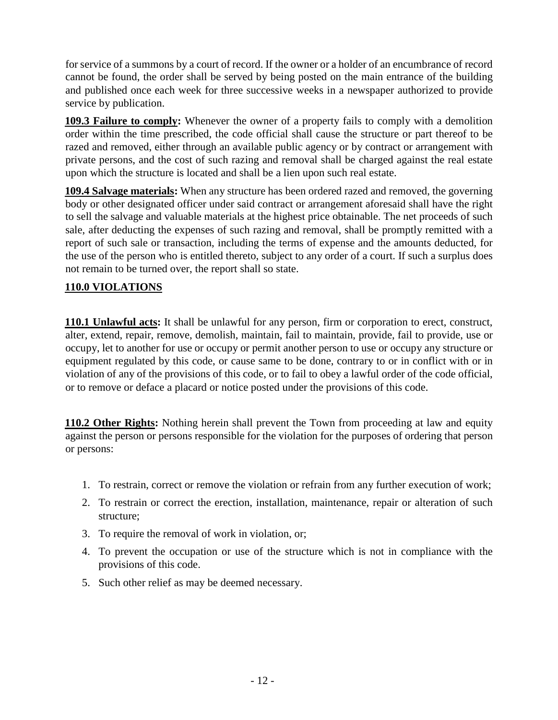for service of a summons by a court of record. If the owner or a holder of an encumbrance of record cannot be found, the order shall be served by being posted on the main entrance of the building and published once each week for three successive weeks in a newspaper authorized to provide service by publication.

**109.3 Failure to comply:** Whenever the owner of a property fails to comply with a demolition order within the time prescribed, the code official shall cause the structure or part thereof to be razed and removed, either through an available public agency or by contract or arrangement with private persons, and the cost of such razing and removal shall be charged against the real estate upon which the structure is located and shall be a lien upon such real estate.

**109.4 Salvage materials:** When any structure has been ordered razed and removed, the governing body or other designated officer under said contract or arrangement aforesaid shall have the right to sell the salvage and valuable materials at the highest price obtainable. The net proceeds of such sale, after deducting the expenses of such razing and removal, shall be promptly remitted with a report of such sale or transaction, including the terms of expense and the amounts deducted, for the use of the person who is entitled thereto, subject to any order of a court. If such a surplus does not remain to be turned over, the report shall so state.

#### **110.0 VIOLATIONS**

**110.1 Unlawful acts:** It shall be unlawful for any person, firm or corporation to erect, construct, alter, extend, repair, remove, demolish, maintain, fail to maintain, provide, fail to provide, use or occupy, let to another for use or occupy or permit another person to use or occupy any structure or equipment regulated by this code, or cause same to be done, contrary to or in conflict with or in violation of any of the provisions of this code, or to fail to obey a lawful order of the code official, or to remove or deface a placard or notice posted under the provisions of this code.

**110.2 Other Rights:** Nothing herein shall prevent the Town from proceeding at law and equity against the person or persons responsible for the violation for the purposes of ordering that person or persons:

- 1. To restrain, correct or remove the violation or refrain from any further execution of work;
- 2. To restrain or correct the erection, installation, maintenance, repair or alteration of such structure;
- 3. To require the removal of work in violation, or;
- 4. To prevent the occupation or use of the structure which is not in compliance with the provisions of this code.
- 5. Such other relief as may be deemed necessary.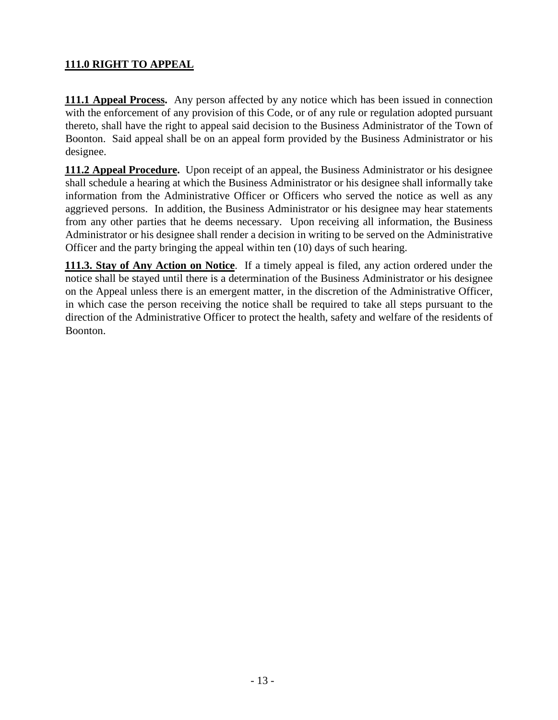# **111.0 RIGHT TO APPEAL**

**111.1 Appeal Process.** Any person affected by any notice which has been issued in connection with the enforcement of any provision of this Code, or of any rule or regulation adopted pursuant thereto, shall have the right to appeal said decision to the Business Administrator of the Town of Boonton. Said appeal shall be on an appeal form provided by the Business Administrator or his designee.

**111.2 Appeal Procedure.** Upon receipt of an appeal, the Business Administrator or his designee shall schedule a hearing at which the Business Administrator or his designee shall informally take information from the Administrative Officer or Officers who served the notice as well as any aggrieved persons. In addition, the Business Administrator or his designee may hear statements from any other parties that he deems necessary. Upon receiving all information, the Business Administrator or his designee shall render a decision in writing to be served on the Administrative Officer and the party bringing the appeal within ten (10) days of such hearing.

**111.3. Stay of Any Action on Notice**. If a timely appeal is filed, any action ordered under the notice shall be stayed until there is a determination of the Business Administrator or his designee on the Appeal unless there is an emergent matter, in the discretion of the Administrative Officer, in which case the person receiving the notice shall be required to take all steps pursuant to the direction of the Administrative Officer to protect the health, safety and welfare of the residents of Boonton.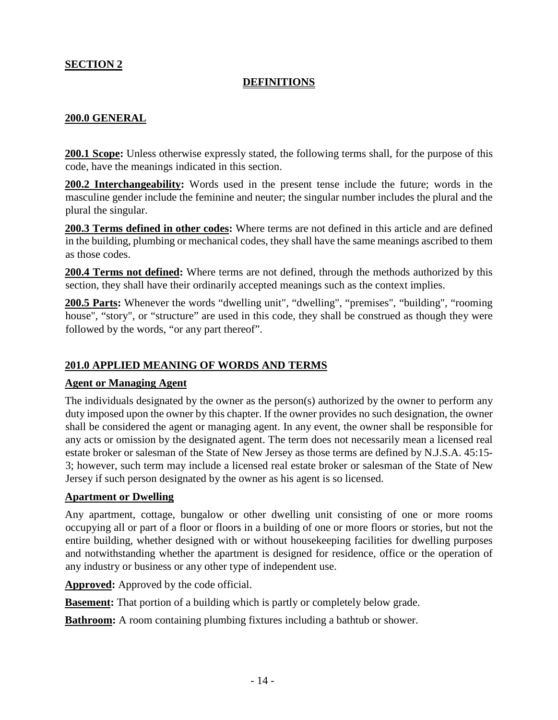#### **SECTION 2**

#### **DEFINITIONS**

#### **200.0 GENERAL**

**200.1 Scope:** Unless otherwise expressly stated, the following terms shall, for the purpose of this code, have the meanings indicated in this section.

**200.2 Interchangeability:** Words used in the present tense include the future; words in the masculine gender include the feminine and neuter; the singular number includes the plural and the plural the singular.

**200.3 Terms defined in other codes:** Where terms are not defined in this article and are defined in the building, plumbing or mechanical codes, they shall have the same meanings ascribed to them as those codes.

**200.4 Terms not defined:** Where terms are not defined, through the methods authorized by this section, they shall have their ordinarily accepted meanings such as the context implies.

**200.5 Parts:** Whenever the words "dwelling unit", "dwelling", "premises", "building", "rooming house", "story", or "structure" are used in this code, they shall be construed as though they were followed by the words, "or any part thereof".

#### **201.0 APPLIED MEANING OF WORDS AND TERMS**

#### **Agent or Managing Agent**

The individuals designated by the owner as the person(s) authorized by the owner to perform any duty imposed upon the owner by this chapter. If the owner provides no such designation, the owner shall be considered the agent or managing agent. In any event, the owner shall be responsible for any acts or omission by the designated agent. The term does not necessarily mean a licensed real estate broker or salesman of the State of New Jersey as those terms are defined by N.J.S.A. 45:15- 3; however, such term may include a licensed real estate broker or salesman of the State of New Jersey if such person designated by the owner as his agent is so licensed.

#### **Apartment or Dwelling**

Any apartment, cottage, bungalow or other dwelling unit consisting of one or more rooms occupying all or part of a floor or floors in a building of one or more floors or stories, but not the entire building, whether designed with or without housekeeping facilities for dwelling purposes and notwithstanding whether the apartment is designed for residence, office or the operation of any industry or business or any other type of independent use.

**Approved:** Approved by the code official.

**Basement:** That portion of a building which is partly or completely below grade.

**Bathroom:** A room containing plumbing fixtures including a bathtub or shower.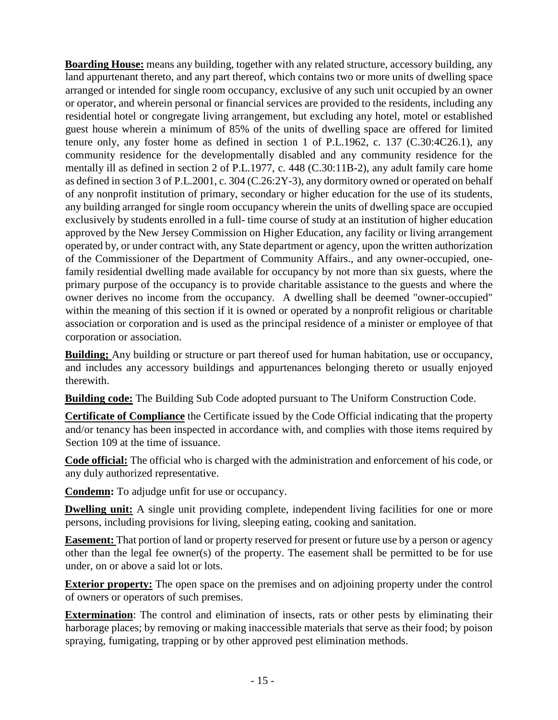**Boarding House:** means any building, together with any related structure, accessory building, any land appurtenant thereto, and any part thereof, which contains two or more units of dwelling space arranged or intended for single room occupancy, exclusive of any such unit occupied by an owner or operator, and wherein personal or financial services are provided to the residents, including any residential hotel or congregate living arrangement, but excluding any hotel, motel or established guest house wherein a minimum of 85% of the units of dwelling space are offered for limited tenure only, any foster home as defined in section 1 of P.L.1962, c. 137 (C.30:4C26.1), any community residence for the developmentally disabled and any community residence for the mentally ill as defined in section 2 of P.L.1977, c. 448 (C.30:11B-2), any adult family care home as defined in section 3 of P.L.2001, c. 304 (C.26:2Y-3), any dormitory owned or operated on behalf of any nonprofit institution of primary, secondary or higher education for the use of its students, any building arranged for single room occupancy wherein the units of dwelling space are occupied exclusively by students enrolled in a full- time course of study at an institution of higher education approved by the New Jersey Commission on Higher Education, any facility or living arrangement operated by, or under contract with, any State department or agency, upon the written authorization of the Commissioner of the Department of Community Affairs., and any owner-occupied, onefamily residential dwelling made available for occupancy by not more than six guests, where the primary purpose of the occupancy is to provide charitable assistance to the guests and where the owner derives no income from the occupancy. A dwelling shall be deemed "owner-occupied" within the meaning of this section if it is owned or operated by a nonprofit religious or charitable association or corporation and is used as the principal residence of a minister or employee of that corporation or association.

**Building;** Any building or structure or part thereof used for human habitation, use or occupancy, and includes any accessory buildings and appurtenances belonging thereto or usually enjoyed therewith.

**Building code:** The Building Sub Code adopted pursuant to The Uniform Construction Code.

**Certificate of Compliance** the Certificate issued by the Code Official indicating that the property and/or tenancy has been inspected in accordance with, and complies with those items required by Section 109 at the time of issuance.

**Code official:** The official who is charged with the administration and enforcement of his code, or any duly authorized representative.

**Condemn:** To adjudge unfit for use or occupancy.

**Dwelling unit:** A single unit providing complete, independent living facilities for one or more persons, including provisions for living, sleeping eating, cooking and sanitation.

**Easement:** That portion of land or property reserved for present or future use by a person or agency other than the legal fee owner(s) of the property. The easement shall be permitted to be for use under, on or above a said lot or lots.

**Exterior property:** The open space on the premises and on adjoining property under the control of owners or operators of such premises.

**Extermination**: The control and elimination of insects, rats or other pests by eliminating their harborage places; by removing or making inaccessible materials that serve as their food; by poison spraying, fumigating, trapping or by other approved pest elimination methods.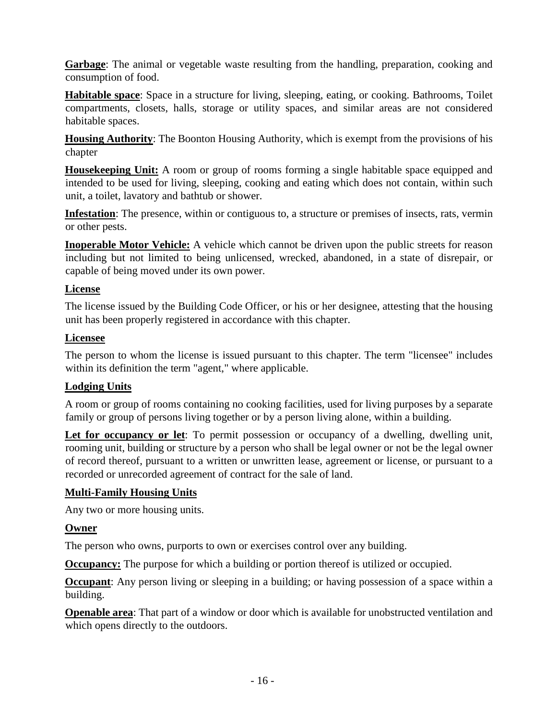**Garbage**: The animal or vegetable waste resulting from the handling, preparation, cooking and consumption of food.

**Habitable space**: Space in a structure for living, sleeping, eating, or cooking. Bathrooms, Toilet compartments, closets, halls, storage or utility spaces, and similar areas are not considered habitable spaces.

**Housing Authority**: The Boonton Housing Authority, which is exempt from the provisions of his chapter

**Housekeeping Unit:** A room or group of rooms forming a single habitable space equipped and intended to be used for living, sleeping, cooking and eating which does not contain, within such unit, a toilet, lavatory and bathtub or shower.

**Infestation**: The presence, within or contiguous to, a structure or premises of insects, rats, vermin or other pests.

**Inoperable Motor Vehicle:** A vehicle which cannot be driven upon the public streets for reason including but not limited to being unlicensed, wrecked, abandoned, in a state of disrepair, or capable of being moved under its own power.

#### **License**

The license issued by the Building Code Officer, or his or her designee, attesting that the housing unit has been properly registered in accordance with this chapter.

#### **Licensee**

The person to whom the license is issued pursuant to this chapter. The term "licensee" includes within its definition the term "agent," where applicable.

#### **Lodging Units**

A room or group of rooms containing no cooking facilities, used for living purposes by a separate family or group of persons living together or by a person living alone, within a building.

**Let for occupancy or let**: To permit possession or occupancy of a dwelling, dwelling unit, rooming unit, building or structure by a person who shall be legal owner or not be the legal owner of record thereof, pursuant to a written or unwritten lease, agreement or license, or pursuant to a recorded or unrecorded agreement of contract for the sale of land.

#### **Multi-Family Housing Units**

Any two or more housing units.

#### **Owner**

The person who owns, purports to own or exercises control over any building.

**Occupancy:** The purpose for which a building or portion thereof is utilized or occupied.

**Occupant**: Any person living or sleeping in a building; or having possession of a space within a building.

**Openable area**: That part of a window or door which is available for unobstructed ventilation and which opens directly to the outdoors.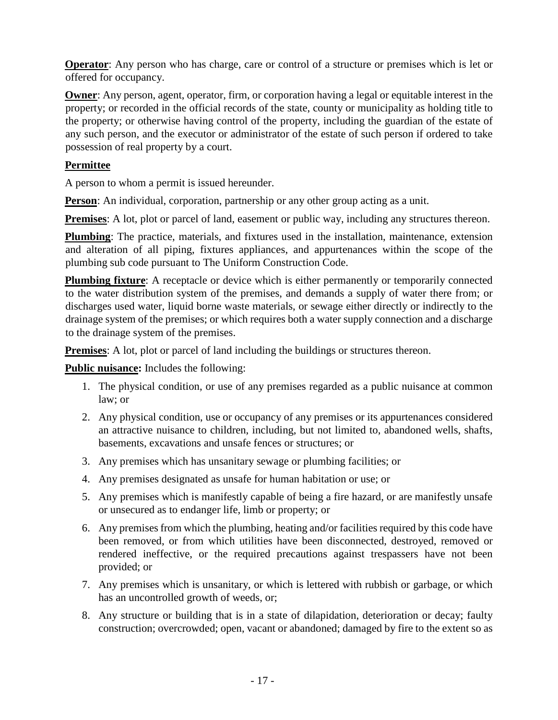**Operator**: Any person who has charge, care or control of a structure or premises which is let or offered for occupancy.

**Owner:** Any person, agent, operator, firm, or corporation having a legal or equitable interest in the property; or recorded in the official records of the state, county or municipality as holding title to the property; or otherwise having control of the property, including the guardian of the estate of any such person, and the executor or administrator of the estate of such person if ordered to take possession of real property by a court.

#### **Permittee**

A person to whom a permit is issued hereunder.

**Person**: An individual, corporation, partnership or any other group acting as a unit.

**Premises**: A lot, plot or parcel of land, easement or public way, including any structures thereon.

**Plumbing**: The practice, materials, and fixtures used in the installation, maintenance, extension and alteration of all piping, fixtures appliances, and appurtenances within the scope of the plumbing sub code pursuant to The Uniform Construction Code.

**Plumbing fixture**: A receptacle or device which is either permanently or temporarily connected to the water distribution system of the premises, and demands a supply of water there from; or discharges used water, liquid borne waste materials, or sewage either directly or indirectly to the drainage system of the premises; or which requires both a water supply connection and a discharge to the drainage system of the premises.

**Premises**: A lot, plot or parcel of land including the buildings or structures thereon.

**Public nuisance:** Includes the following:

- 1. The physical condition, or use of any premises regarded as a public nuisance at common law; or
- 2. Any physical condition, use or occupancy of any premises or its appurtenances considered an attractive nuisance to children, including, but not limited to, abandoned wells, shafts, basements, excavations and unsafe fences or structures; or
- 3. Any premises which has unsanitary sewage or plumbing facilities; or
- 4. Any premises designated as unsafe for human habitation or use; or
- 5. Any premises which is manifestly capable of being a fire hazard, or are manifestly unsafe or unsecured as to endanger life, limb or property; or
- 6. Any premises from which the plumbing, heating and/or facilities required by this code have been removed, or from which utilities have been disconnected, destroyed, removed or rendered ineffective, or the required precautions against trespassers have not been provided; or
- 7. Any premises which is unsanitary, or which is lettered with rubbish or garbage, or which has an uncontrolled growth of weeds, or;
- 8. Any structure or building that is in a state of dilapidation, deterioration or decay; faulty construction; overcrowded; open, vacant or abandoned; damaged by fire to the extent so as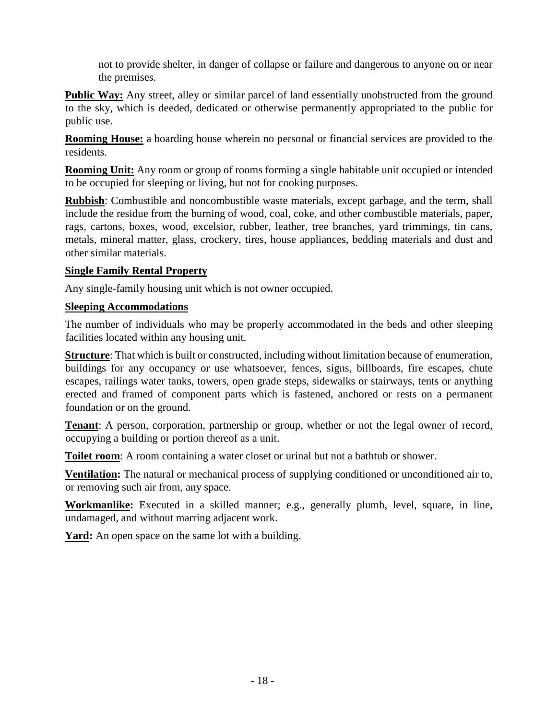not to provide shelter, in danger of collapse or failure and dangerous to anyone on or near the premises.

**Public Way:** Any street, alley or similar parcel of land essentially unobstructed from the ground to the sky, which is deeded, dedicated or otherwise permanently appropriated to the public for public use.

**Rooming House:** a boarding house wherein no personal or financial services are provided to the residents.

**Rooming Unit:** Any room or group of rooms forming a single habitable unit occupied or intended to be occupied for sleeping or living, but not for cooking purposes.

**Rubbish**: Combustible and noncombustible waste materials, except garbage, and the term, shall include the residue from the burning of wood, coal, coke, and other combustible materials, paper, rags, cartons, boxes, wood, excelsior, rubber, leather, tree branches, yard trimmings, tin cans, metals, mineral matter, glass, crockery, tires, house appliances, bedding materials and dust and other similar materials.

#### **Single Family Rental Property**

Any single-family housing unit which is not owner occupied.

#### **Sleeping Accommodations**

The number of individuals who may be properly accommodated in the beds and other sleeping facilities located within any housing unit.

**Structure**: That which is built or constructed, including without limitation because of enumeration, buildings for any occupancy or use whatsoever, fences, signs, billboards, fire escapes, chute escapes, railings water tanks, towers, open grade steps, sidewalks or stairways, tents or anything erected and framed of component parts which is fastened, anchored or rests on a permanent foundation or on the ground.

**Tenant**: A person, corporation, partnership or group, whether or not the legal owner of record, occupying a building or portion thereof as a unit.

**Toilet room**: A room containing a water closet or urinal but not a bathtub or shower.

**Ventilation:** The natural or mechanical process of supplying conditioned or unconditioned air to, or removing such air from, any space.

**Workmanlike:** Executed in a skilled manner; e.g., generally plumb, level, square, in line, undamaged, and without marring adjacent work.

Yard: An open space on the same lot with a building.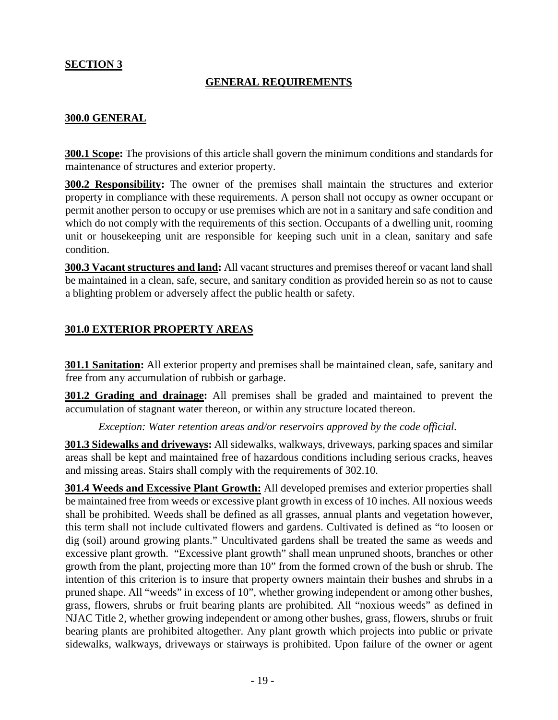#### **SECTION 3**

#### **GENERAL REQUIREMENTS**

#### **300.0 GENERAL**

**300.1 Scope:** The provisions of this article shall govern the minimum conditions and standards for maintenance of structures and exterior property.

**300.2 Responsibility:** The owner of the premises shall maintain the structures and exterior property in compliance with these requirements. A person shall not occupy as owner occupant or permit another person to occupy or use premises which are not in a sanitary and safe condition and which do not comply with the requirements of this section. Occupants of a dwelling unit, rooming unit or housekeeping unit are responsible for keeping such unit in a clean, sanitary and safe condition.

**300.3 Vacant structures and land:** All vacant structures and premises thereof or vacant land shall be maintained in a clean, safe, secure, and sanitary condition as provided herein so as not to cause a blighting problem or adversely affect the public health or safety.

#### **301.0 EXTERIOR PROPERTY AREAS**

**301.1 Sanitation:** All exterior property and premises shall be maintained clean, safe, sanitary and free from any accumulation of rubbish or garbage.

**301.2 Grading and drainage:** All premises shall be graded and maintained to prevent the accumulation of stagnant water thereon, or within any structure located thereon.

*Exception: Water retention areas and/or reservoirs approved by the code official.* 

**301.3 Sidewalks and driveways:** All sidewalks, walkways, driveways, parking spaces and similar areas shall be kept and maintained free of hazardous conditions including serious cracks, heaves and missing areas. Stairs shall comply with the requirements of 302.10.

**301.4 Weeds and Excessive Plant Growth:** All developed premises and exterior properties shall be maintained free from weeds or excessive plant growth in excess of 10 inches. All noxious weeds shall be prohibited. Weeds shall be defined as all grasses, annual plants and vegetation however, this term shall not include cultivated flowers and gardens. Cultivated is defined as "to loosen or dig (soil) around growing plants." Uncultivated gardens shall be treated the same as weeds and excessive plant growth. "Excessive plant growth" shall mean unpruned shoots, branches or other growth from the plant, projecting more than 10" from the formed crown of the bush or shrub. The intention of this criterion is to insure that property owners maintain their bushes and shrubs in a pruned shape. All "weeds" in excess of 10", whether growing independent or among other bushes, grass, flowers, shrubs or fruit bearing plants are prohibited. All "noxious weeds" as defined in NJAC Title 2, whether growing independent or among other bushes, grass, flowers, shrubs or fruit bearing plants are prohibited altogether. Any plant growth which projects into public or private sidewalks, walkways, driveways or stairways is prohibited. Upon failure of the owner or agent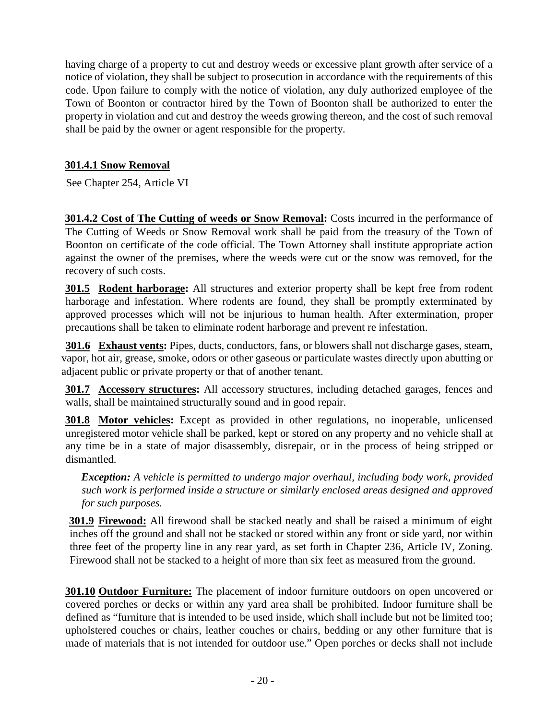having charge of a property to cut and destroy weeds or excessive plant growth after service of a notice of violation, they shall be subject to prosecution in accordance with the requirements of this code. Upon failure to comply with the notice of violation, any duly authorized employee of the Town of Boonton or contractor hired by the Town of Boonton shall be authorized to enter the property in violation and cut and destroy the weeds growing thereon, and the cost of such removal shall be paid by the owner or agent responsible for the property.

#### **301.4.1 Snow Removal**

See Chapter 254, Article VI

**301.4.2 Cost of The Cutting of weeds or Snow Removal:** Costs incurred in the performance of The Cutting of Weeds or Snow Removal work shall be paid from the treasury of the Town of Boonton on certificate of the code official. The Town Attorney shall institute appropriate action against the owner of the premises, where the weeds were cut or the snow was removed, for the recovery of such costs.

**301.5 Rodent harborage:** All structures and exterior property shall be kept free from rodent harborage and infestation. Where rodents are found, they shall be promptly exterminated by approved processes which will not be injurious to human health. After extermination, proper precautions shall be taken to eliminate rodent harborage and prevent re infestation.

**301.6 Exhaust vents:** Pipes, ducts, conductors, fans, or blowers shall not discharge gases, steam, vapor, hot air, grease, smoke, odors or other gaseous or particulate wastes directly upon abutting or adjacent public or private property or that of another tenant.

**301.7 Accessory structures:** All accessory structures, including detached garages, fences and walls, shall be maintained structurally sound and in good repair.

**301.8 Motor vehicles:** Except as provided in other regulations, no inoperable, unlicensed unregistered motor vehicle shall be parked, kept or stored on any property and no vehicle shall at any time be in a state of major disassembly, disrepair, or in the process of being stripped or dismantled.

*Exception: A vehicle is permitted to undergo major overhaul, including body work, provided such work is performed inside a structure or similarly enclosed areas designed and approved for such purposes.*

**301.9 Firewood:** All firewood shall be stacked neatly and shall be raised a minimum of eight inches off the ground and shall not be stacked or stored within any front or side yard, nor within three feet of the property line in any rear yard, as set forth in Chapter 236, Article IV, Zoning. Firewood shall not be stacked to a height of more than six feet as measured from the ground.

**301.10 Outdoor Furniture:** The placement of indoor furniture outdoors on open uncovered or covered porches or decks or within any yard area shall be prohibited. Indoor furniture shall be defined as "furniture that is intended to be used inside, which shall include but not be limited too; upholstered couches or chairs, leather couches or chairs, bedding or any other furniture that is made of materials that is not intended for outdoor use." Open porches or decks shall not include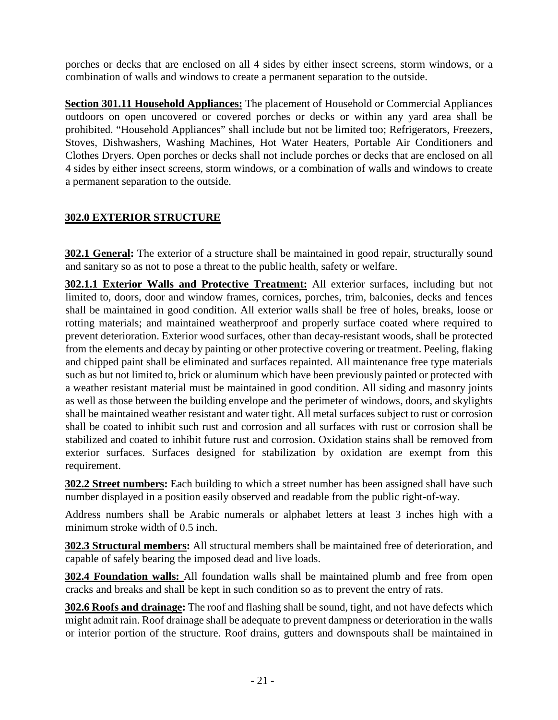porches or decks that are enclosed on all 4 sides by either insect screens, storm windows, or a combination of walls and windows to create a permanent separation to the outside.

**Section 301.11 Household Appliances:** The placement of Household or Commercial Appliances outdoors on open uncovered or covered porches or decks or within any yard area shall be prohibited. "Household Appliances" shall include but not be limited too; Refrigerators, Freezers, Stoves, Dishwashers, Washing Machines, Hot Water Heaters, Portable Air Conditioners and Clothes Dryers. Open porches or decks shall not include porches or decks that are enclosed on all 4 sides by either insect screens, storm windows, or a combination of walls and windows to create a permanent separation to the outside.

# **302.0 EXTERIOR STRUCTURE**

**302.1 General:** The exterior of a structure shall be maintained in good repair, structurally sound and sanitary so as not to pose a threat to the public health, safety or welfare.

**302.1.1 Exterior Walls and Protective Treatment:** All exterior surfaces, including but not limited to, doors, door and window frames, cornices, porches, trim, balconies, decks and fences shall be maintained in good condition. All exterior walls shall be free of holes, breaks, loose or rotting materials; and maintained weatherproof and properly surface coated where required to prevent deterioration. Exterior wood surfaces, other than decay-resistant woods, shall be protected from the elements and decay by painting or other protective covering or treatment. Peeling, flaking and chipped paint shall be eliminated and surfaces repainted. All maintenance free type materials such as but not limited to, brick or aluminum which have been previously painted or protected with a weather resistant material must be maintained in good condition. All siding and masonry joints as well as those between the building envelope and the perimeter of windows, doors, and skylights shall be maintained weather resistant and water tight. All metal surfaces subject to rust or corrosion shall be coated to inhibit such rust and corrosion and all surfaces with rust or corrosion shall be stabilized and coated to inhibit future rust and corrosion. Oxidation stains shall be removed from exterior surfaces. Surfaces designed for stabilization by oxidation are exempt from this requirement.

**302.2 Street numbers:** Each building to which a street number has been assigned shall have such number displayed in a position easily observed and readable from the public right-of-way.

Address numbers shall be Arabic numerals or alphabet letters at least 3 inches high with a minimum stroke width of 0.5 inch.

**302.3 Structural members:** All structural members shall be maintained free of deterioration, and capable of safely bearing the imposed dead and live loads.

**302.4 Foundation walls:** All foundation walls shall be maintained plumb and free from open cracks and breaks and shall be kept in such condition so as to prevent the entry of rats.

**302.6 Roofs and drainage:** The roof and flashing shall be sound, tight, and not have defects which might admit rain. Roof drainage shall be adequate to prevent dampness or deterioration in the walls or interior portion of the structure. Roof drains, gutters and downspouts shall be maintained in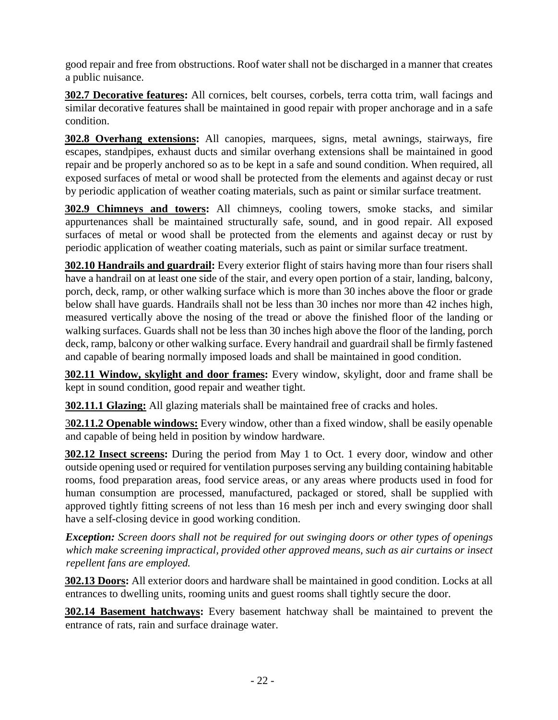good repair and free from obstructions. Roof water shall not be discharged in a manner that creates a public nuisance.

**302.7 Decorative features:** All cornices, belt courses, corbels, terra cotta trim, wall facings and similar decorative features shall be maintained in good repair with proper anchorage and in a safe condition.

**302.8 Overhang extensions:** All canopies, marquees, signs, metal awnings, stairways, fire escapes, standpipes, exhaust ducts and similar overhang extensions shall be maintained in good repair and be properly anchored so as to be kept in a safe and sound condition. When required, all exposed surfaces of metal or wood shall be protected from the elements and against decay or rust by periodic application of weather coating materials, such as paint or similar surface treatment.

**302.9 Chimneys and towers:** All chimneys, cooling towers, smoke stacks, and similar appurtenances shall be maintained structurally safe, sound, and in good repair. All exposed surfaces of metal or wood shall be protected from the elements and against decay or rust by periodic application of weather coating materials, such as paint or similar surface treatment.

**302.10 Handrails and guardrail:** Every exterior flight of stairs having more than four risers shall have a handrail on at least one side of the stair, and every open portion of a stair, landing, balcony, porch, deck, ramp, or other walking surface which is more than 30 inches above the floor or grade below shall have guards. Handrails shall not be less than 30 inches nor more than 42 inches high, measured vertically above the nosing of the tread or above the finished floor of the landing or walking surfaces. Guards shall not be less than 30 inches high above the floor of the landing, porch deck, ramp, balcony or other walking surface. Every handrail and guardrail shall be firmly fastened and capable of bearing normally imposed loads and shall be maintained in good condition.

**302.11 Window, skylight and door frames:** Every window, skylight, door and frame shall be kept in sound condition, good repair and weather tight.

**302.11.1 Glazing:** All glazing materials shall be maintained free of cracks and holes.

3**02.11.2 Openable windows:** Every window, other than a fixed window, shall be easily openable and capable of being held in position by window hardware.

**302.12 Insect screens:** During the period from May 1 to Oct. 1 every door, window and other outside opening used or required for ventilation purposes serving any building containing habitable rooms, food preparation areas, food service areas, or any areas where products used in food for human consumption are processed, manufactured, packaged or stored, shall be supplied with approved tightly fitting screens of not less than 16 mesh per inch and every swinging door shall have a self-closing device in good working condition.

*Exception: Screen doors shall not be required for out swinging doors or other types of openings which make screening impractical, provided other approved means, such as air curtains or insect repellent fans are employed.*

**302.13 Doors:** All exterior doors and hardware shall be maintained in good condition. Locks at all entrances to dwelling units, rooming units and guest rooms shall tightly secure the door.

**302.14 Basement hatchways:** Every basement hatchway shall be maintained to prevent the entrance of rats, rain and surface drainage water.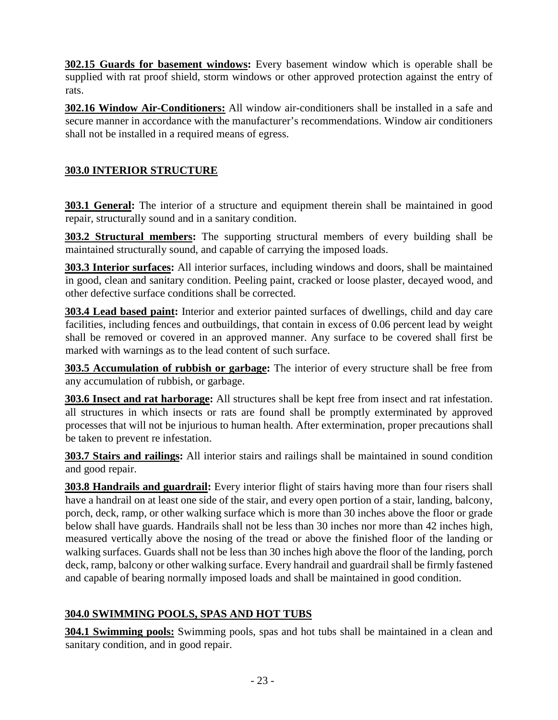**302.15 Guards for basement windows:** Every basement window which is operable shall be supplied with rat proof shield, storm windows or other approved protection against the entry of rats.

**302.16 Window Air-Conditioners:** All window air-conditioners shall be installed in a safe and secure manner in accordance with the manufacturer's recommendations. Window air conditioners shall not be installed in a required means of egress.

# **303.0 INTERIOR STRUCTURE**

**303.1 General:** The interior of a structure and equipment therein shall be maintained in good repair, structurally sound and in a sanitary condition.

**303.2 Structural members:** The supporting structural members of every building shall be maintained structurally sound, and capable of carrying the imposed loads.

**303.3 Interior surfaces:** All interior surfaces, including windows and doors, shall be maintained in good, clean and sanitary condition. Peeling paint, cracked or loose plaster, decayed wood, and other defective surface conditions shall be corrected.

**303.4 Lead based paint:** Interior and exterior painted surfaces of dwellings, child and day care facilities, including fences and outbuildings, that contain in excess of 0.06 percent lead by weight shall be removed or covered in an approved manner. Any surface to be covered shall first be marked with warnings as to the lead content of such surface.

**303.5 Accumulation of rubbish or garbage:** The interior of every structure shall be free from any accumulation of rubbish, or garbage.

**303.6 Insect and rat harborage:** All structures shall be kept free from insect and rat infestation. all structures in which insects or rats are found shall be promptly exterminated by approved processes that will not be injurious to human health. After extermination, proper precautions shall be taken to prevent re infestation.

**303.7 Stairs and railings:** All interior stairs and railings shall be maintained in sound condition and good repair.

**303.8 Handrails and guardrail:** Every interior flight of stairs having more than four risers shall have a handrail on at least one side of the stair, and every open portion of a stair, landing, balcony, porch, deck, ramp, or other walking surface which is more than 30 inches above the floor or grade below shall have guards. Handrails shall not be less than 30 inches nor more than 42 inches high, measured vertically above the nosing of the tread or above the finished floor of the landing or walking surfaces. Guards shall not be less than 30 inches high above the floor of the landing, porch deck, ramp, balcony or other walking surface. Every handrail and guardrail shall be firmly fastened and capable of bearing normally imposed loads and shall be maintained in good condition.

# **304.0 SWIMMING POOLS, SPAS AND HOT TUBS**

**304.1 Swimming pools:** Swimming pools, spas and hot tubs shall be maintained in a clean and sanitary condition, and in good repair.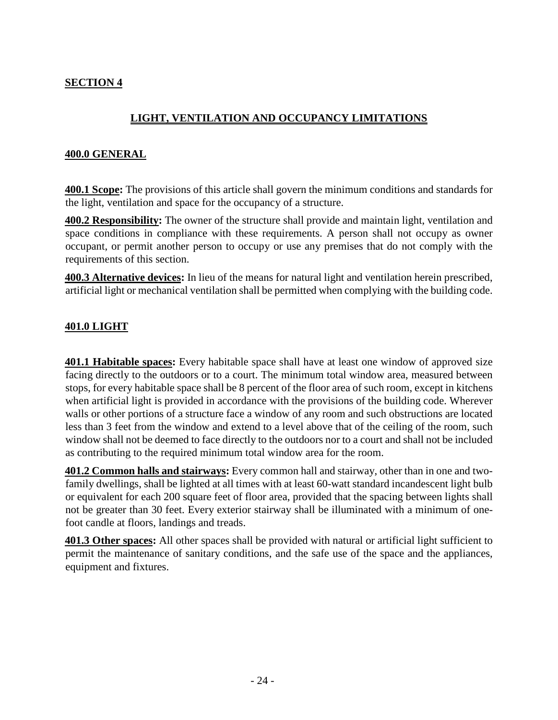#### **SECTION 4**

# **LIGHT, VENTILATION AND OCCUPANCY LIMITATIONS**

#### **400.0 GENERAL**

**400.1 Scope:** The provisions of this article shall govern the minimum conditions and standards for the light, ventilation and space for the occupancy of a structure.

**400.2 Responsibility:** The owner of the structure shall provide and maintain light, ventilation and space conditions in compliance with these requirements. A person shall not occupy as owner occupant, or permit another person to occupy or use any premises that do not comply with the requirements of this section.

**400.3 Alternative devices:** In lieu of the means for natural light and ventilation herein prescribed, artificial light or mechanical ventilation shall be permitted when complying with the building code.

#### **401.0 LIGHT**

**401.1 Habitable spaces:** Every habitable space shall have at least one window of approved size facing directly to the outdoors or to a court. The minimum total window area, measured between stops, for every habitable space shall be 8 percent of the floor area of such room, except in kitchens when artificial light is provided in accordance with the provisions of the building code. Wherever walls or other portions of a structure face a window of any room and such obstructions are located less than 3 feet from the window and extend to a level above that of the ceiling of the room, such window shall not be deemed to face directly to the outdoors nor to a court and shall not be included as contributing to the required minimum total window area for the room.

**401.2 Common halls and stairways:** Every common hall and stairway, other than in one and twofamily dwellings, shall be lighted at all times with at least 60-watt standard incandescent light bulb or equivalent for each 200 square feet of floor area, provided that the spacing between lights shall not be greater than 30 feet. Every exterior stairway shall be illuminated with a minimum of onefoot candle at floors, landings and treads.

**401.3 Other spaces:** All other spaces shall be provided with natural or artificial light sufficient to permit the maintenance of sanitary conditions, and the safe use of the space and the appliances, equipment and fixtures.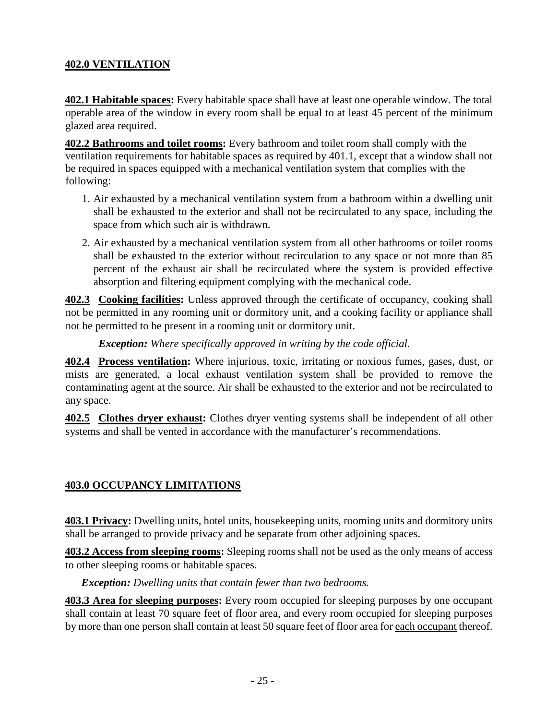#### **402.0 VENTILATION**

**402.1 Habitable spaces:** Every habitable space shall have at least one operable window. The total operable area of the window in every room shall be equal to at least 45 percent of the minimum glazed area required.

**402.2 Bathrooms and toilet rooms:** Every bathroom and toilet room shall comply with the ventilation requirements for habitable spaces as required by 401.1, except that a window shall not be required in spaces equipped with a mechanical ventilation system that complies with the following:

- 1. Air exhausted by a mechanical ventilation system from a bathroom within a dwelling unit shall be exhausted to the exterior and shall not be recirculated to any space, including the space from which such air is withdrawn.
- 2. Air exhausted by a mechanical ventilation system from all other bathrooms or toilet rooms shall be exhausted to the exterior without recirculation to any space or not more than 85 percent of the exhaust air shall be recirculated where the system is provided effective absorption and filtering equipment complying with the mechanical code.

**402.3 Cooking facilities:** Unless approved through the certificate of occupancy, cooking shall not be permitted in any rooming unit or dormitory unit, and a cooking facility or appliance shall not be permitted to be present in a rooming unit or dormitory unit.

*Exception: Where specifically approved in writing by the code official.*

**402.4 Process ventilation:** Where injurious, toxic, irritating or noxious fumes, gases, dust, or mists are generated, a local exhaust ventilation system shall be provided to remove the contaminating agent at the source. Air shall be exhausted to the exterior and not be recirculated to any space.

**402.5 Clothes dryer exhaust:** Clothes dryer venting systems shall be independent of all other systems and shall be vented in accordance with the manufacturer's recommendations.

#### **403.0 OCCUPANCY LIMITATIONS**

**403.1 Privacy:** Dwelling units, hotel units, housekeeping units, rooming units and dormitory units shall be arranged to provide privacy and be separate from other adjoining spaces.

**403.2 Access from sleeping rooms:** Sleeping rooms shall not be used as the only means of access to other sleeping rooms or habitable spaces.

*Exception: Dwelling units that contain fewer than two bedrooms.*

**403.3 Area for sleeping purposes:** Every room occupied for sleeping purposes by one occupant shall contain at least 70 square feet of floor area, and every room occupied for sleeping purposes by more than one person shall contain at least 50 square feet of floor area for each occupant thereof.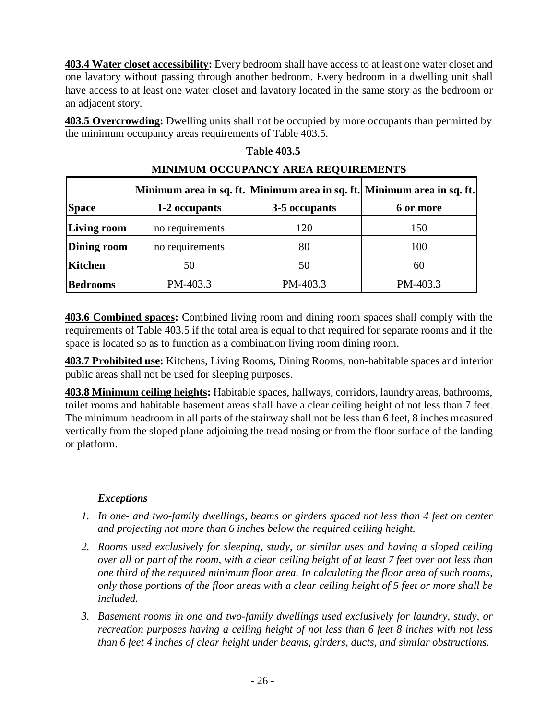**403.4 Water closet accessibility:** Every bedroom shall have access to at least one water closet and one lavatory without passing through another bedroom. Every bedroom in a dwelling unit shall have access to at least one water closet and lavatory located in the same story as the bedroom or an adjacent story.

**403.5 Overcrowding:** Dwelling units shall not be occupied by more occupants than permitted by the minimum occupancy areas requirements of Table 403.5.

| <b>MINIMUM OCCUPANCY AREA REQUIREMENTS</b> |                 |               |                                                                         |  |
|--------------------------------------------|-----------------|---------------|-------------------------------------------------------------------------|--|
|                                            |                 |               | Minimum area in sq. ft. Minimum area in sq. ft. Minimum area in sq. ft. |  |
| <b>Space</b>                               | 1-2 occupants   | 3-5 occupants | 6 or more                                                               |  |
| <b>Living room</b>                         | no requirements | 120           | 150                                                                     |  |
| <b>Dining room</b>                         | no requirements | 80            | 100                                                                     |  |
| <b>Kitchen</b>                             | 50              | 50            | 60                                                                      |  |
| <b>Bedrooms</b>                            | PM-403.3        | PM-403.3      | PM-403.3                                                                |  |

# **MINIMUM OCCUPANCY AREA REQUIREMENTS**

 **Table 403.5** 

**403.6 Combined spaces:** Combined living room and dining room spaces shall comply with the requirements of Table 403.5 if the total area is equal to that required for separate rooms and if the space is located so as to function as a combination living room dining room.

**403.7 Prohibited use:** Kitchens, Living Rooms, Dining Rooms, non-habitable spaces and interior public areas shall not be used for sleeping purposes.

**403.8 Minimum ceiling heights:** Habitable spaces, hallways, corridors, laundry areas, bathrooms, toilet rooms and habitable basement areas shall have a clear ceiling height of not less than 7 feet. The minimum headroom in all parts of the stairway shall not be less than 6 feet, 8 inches measured vertically from the sloped plane adjoining the tread nosing or from the floor surface of the landing or platform.

#### *Exceptions*

- *1. In one- and two-family dwellings, beams or girders spaced not less than 4 feet on center and projecting not more than 6 inches below the required ceiling height.*
- *2. Rooms used exclusively for sleeping, study, or similar uses and having a sloped ceiling over all or part of the room, with a clear ceiling height of at least 7 feet over not less than one third of the required minimum floor area. In calculating the floor area of such rooms, only those portions of the floor areas with a clear ceiling height of 5 feet or more shall be included.*
- *3. Basement rooms in one and two-family dwellings used exclusively for laundry, study, or recreation purposes having a ceiling height of not less than 6 feet 8 inches with not less than 6 feet 4 inches of clear height under beams, girders, ducts, and similar obstructions.*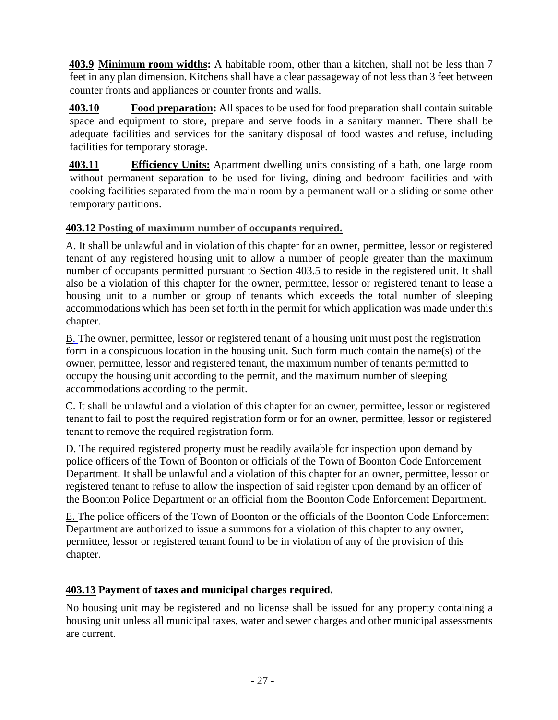**403.9 Minimum room widths:** A habitable room, other than a kitchen, shall not be less than 7 feet in any plan dimension. Kitchens shall have a clear passageway of not less than 3 feet between counter fronts and appliances or counter fronts and walls.

**403.10 Food preparation:** All spaces to be used for food preparation shall contain suitable space and equipment to store, prepare and serve foods in a sanitary manner. There shall be adequate facilities and services for the sanitary disposal of food wastes and refuse, including facilities for temporary storage.

**403.11 Efficiency Units:** Apartment dwelling units consisting of a bath, one large room without permanent separation to be used for living, dining and bedroom facilities and with cooking facilities separated from the main room by a permanent wall or a sliding or some other temporary partitions.

# **403.12 [Posting of maximum number of occupants required.](https://www.ecode360.com/print/BO1912?guid=7161023&children=true#7161083)**

[A. I](https://www.ecode360.com/print/7161084#7161084)t shall be unlawful and in violation of this chapter for an owner, permittee, lessor or registered tenant of any registered housing unit to allow a number of people greater than the maximum number of occupants permitted pursuant to Section 403.5 to reside in the registered unit. It shall also be a violation of this chapter for the owner, permittee, lessor or registered tenant to lease a housing unit to a number or group of tenants which exceeds the total number of sleeping accommodations which has been set forth in the permit for which application was made under this chapter.

[B. T](https://www.ecode360.com/print/7161085#7161085)he owner, permittee, lessor or registered tenant of a housing unit must post the registration form in a conspicuous location in the housing unit. Such form much contain the name(s) of the owner, permittee, lessor and registered tenant, the maximum number of tenants permitted to occupy the housing unit according to the permit, and the maximum number of sleeping accommodations according to the permit.

[C. I](https://www.ecode360.com/print/7161086#7161086)t shall be unlawful and a violation of this chapter for an owner, permittee, lessor or registered tenant to fail to post the required registration form or for an owner, permittee, lessor or registered tenant to remove the required registration form.

[D. T](https://www.ecode360.com/print/7161087#7161087)he required registered property must be readily available for inspection upon demand by police officers of the Town of Boonton or officials of the Town of Boonton Code Enforcement Department. It shall be unlawful and a violation of this chapter for an owner, permittee, lessor or registered tenant to refuse to allow the inspection of said register upon demand by an officer of the Boonton Police Department or an official from the Boonton Code Enforcement Department.

[E. T](https://www.ecode360.com/print/7161088#7161088)he police officers of the Town of Boonton or the officials of the Boonton Code Enforcement Department are authorized to issue a summons for a violation of this chapter to any owner, permittee, lessor or registered tenant found to be in violation of any of the provision of this chapter.

# **403.13 Payment of taxes and municipal charges required.**

No housing unit may be registered and no license shall be issued for any property containing a housing unit unless all municipal taxes, water and sewer charges and other municipal assessments are current.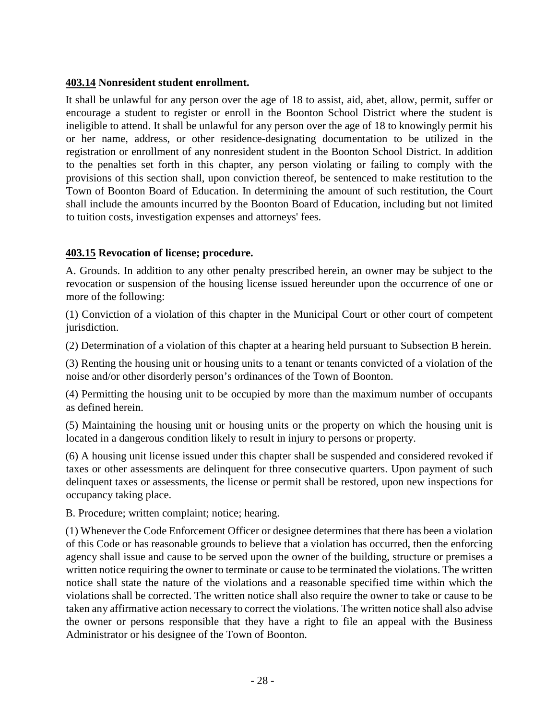#### **403.14 Nonresident student enrollment.**

It shall be unlawful for any person over the age of 18 to assist, aid, abet, allow, permit, suffer or encourage a student to register or enroll in the Boonton School District where the student is ineligible to attend. It shall be unlawful for any person over the age of 18 to knowingly permit his or her name, address, or other residence-designating documentation to be utilized in the registration or enrollment of any nonresident student in the Boonton School District. In addition to the penalties set forth in this chapter, any person violating or failing to comply with the provisions of this section shall, upon conviction thereof, be sentenced to make restitution to the Town of Boonton Board of Education. In determining the amount of such restitution, the Court shall include the amounts incurred by the Boonton Board of Education, including but not limited to tuition costs, investigation expenses and attorneys' fees.

#### **403.15 Revocation of license; procedure.**

A. Grounds. In addition to any other penalty prescribed herein, an owner may be subject to the revocation or suspension of the housing license issued hereunder upon the occurrence of one or more of the following:

(1) Conviction of a violation of this chapter in the Municipal Court or other court of competent jurisdiction.

(2) Determination of a violation of this chapter at a hearing held pursuant to Subsection B herein.

(3) Renting the housing unit or housing units to a tenant or tenants convicted of a violation of the noise and/or other disorderly person's ordinances of the Town of Boonton.

(4) Permitting the housing unit to be occupied by more than the maximum number of occupants as defined herein.

(5) Maintaining the housing unit or housing units or the property on which the housing unit is located in a dangerous condition likely to result in injury to persons or property.

(6) A housing unit license issued under this chapter shall be suspended and considered revoked if taxes or other assessments are delinquent for three consecutive quarters. Upon payment of such delinquent taxes or assessments, the license or permit shall be restored, upon new inspections for occupancy taking place.

B. Procedure; written complaint; notice; hearing.

(1) Whenever the Code Enforcement Officer or designee determines that there has been a violation of this Code or has reasonable grounds to believe that a violation has occurred, then the enforcing agency shall issue and cause to be served upon the owner of the building, structure or premises a written notice requiring the owner to terminate or cause to be terminated the violations. The written notice shall state the nature of the violations and a reasonable specified time within which the violations shall be corrected. The written notice shall also require the owner to take or cause to be taken any affirmative action necessary to correct the violations. The written notice shall also advise the owner or persons responsible that they have a right to file an appeal with the Business Administrator or his designee of the Town of Boonton.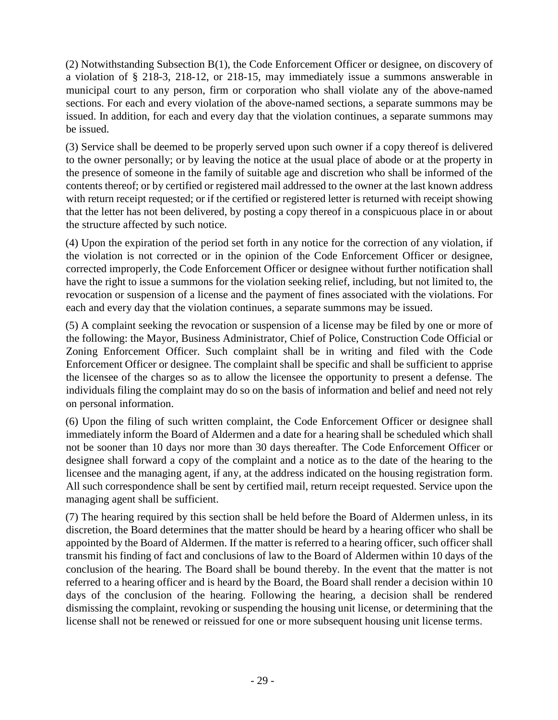(2) Notwithstanding Subsection B(1), the Code Enforcement Officer or designee, on discovery of a violation of § 218-3, 218-12, or 218-15, may immediately issue a summons answerable in municipal court to any person, firm or corporation who shall violate any of the above-named sections. For each and every violation of the above-named sections, a separate summons may be issued. In addition, for each and every day that the violation continues, a separate summons may be issued.

(3) Service shall be deemed to be properly served upon such owner if a copy thereof is delivered to the owner personally; or by leaving the notice at the usual place of abode or at the property in the presence of someone in the family of suitable age and discretion who shall be informed of the contents thereof; or by certified or registered mail addressed to the owner at the last known address with return receipt requested; or if the certified or registered letter is returned with receipt showing that the letter has not been delivered, by posting a copy thereof in a conspicuous place in or about the structure affected by such notice.

(4) Upon the expiration of the period set forth in any notice for the correction of any violation, if the violation is not corrected or in the opinion of the Code Enforcement Officer or designee, corrected improperly, the Code Enforcement Officer or designee without further notification shall have the right to issue a summons for the violation seeking relief, including, but not limited to, the revocation or suspension of a license and the payment of fines associated with the violations. For each and every day that the violation continues, a separate summons may be issued.

(5) A complaint seeking the revocation or suspension of a license may be filed by one or more of the following: the Mayor, Business Administrator, Chief of Police, Construction Code Official or Zoning Enforcement Officer. Such complaint shall be in writing and filed with the Code Enforcement Officer or designee. The complaint shall be specific and shall be sufficient to apprise the licensee of the charges so as to allow the licensee the opportunity to present a defense. The individuals filing the complaint may do so on the basis of information and belief and need not rely on personal information.

(6) Upon the filing of such written complaint, the Code Enforcement Officer or designee shall immediately inform the Board of Aldermen and a date for a hearing shall be scheduled which shall not be sooner than 10 days nor more than 30 days thereafter. The Code Enforcement Officer or designee shall forward a copy of the complaint and a notice as to the date of the hearing to the licensee and the managing agent, if any, at the address indicated on the housing registration form. All such correspondence shall be sent by certified mail, return receipt requested. Service upon the managing agent shall be sufficient.

(7) The hearing required by this section shall be held before the Board of Aldermen unless, in its discretion, the Board determines that the matter should be heard by a hearing officer who shall be appointed by the Board of Aldermen. If the matter is referred to a hearing officer, such officer shall transmit his finding of fact and conclusions of law to the Board of Aldermen within 10 days of the conclusion of the hearing. The Board shall be bound thereby. In the event that the matter is not referred to a hearing officer and is heard by the Board, the Board shall render a decision within 10 days of the conclusion of the hearing. Following the hearing, a decision shall be rendered dismissing the complaint, revoking or suspending the housing unit license, or determining that the license shall not be renewed or reissued for one or more subsequent housing unit license terms.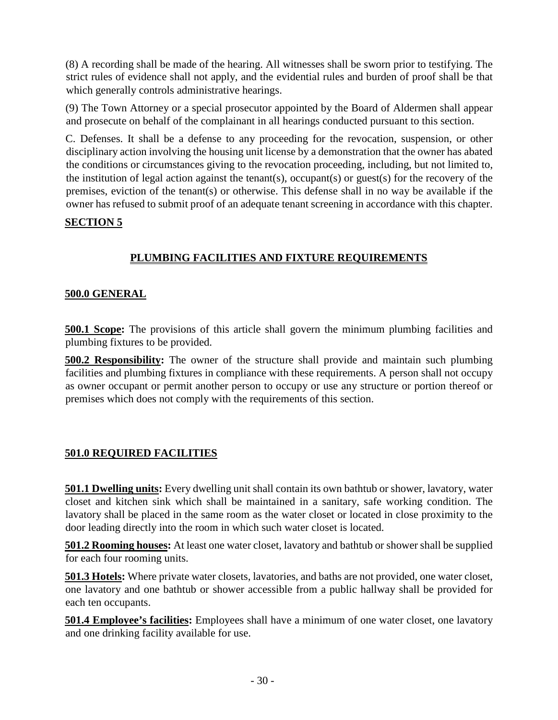(8) A recording shall be made of the hearing. All witnesses shall be sworn prior to testifying. The strict rules of evidence shall not apply, and the evidential rules and burden of proof shall be that which generally controls administrative hearings.

(9) The Town Attorney or a special prosecutor appointed by the Board of Aldermen shall appear and prosecute on behalf of the complainant in all hearings conducted pursuant to this section.

C. Defenses. It shall be a defense to any proceeding for the revocation, suspension, or other disciplinary action involving the housing unit license by a demonstration that the owner has abated the conditions or circumstances giving to the revocation proceeding, including, but not limited to, the institution of legal action against the tenant(s), occupant(s) or guest(s) for the recovery of the premises, eviction of the tenant(s) or otherwise. This defense shall in no way be available if the owner has refused to submit proof of an adequate tenant screening in accordance with this chapter.

#### **SECTION 5**

# **PLUMBING FACILITIES AND FIXTURE REQUIREMENTS**

#### **500.0 GENERAL**

**500.1 Scope:** The provisions of this article shall govern the minimum plumbing facilities and plumbing fixtures to be provided.

**500.2 Responsibility:** The owner of the structure shall provide and maintain such plumbing facilities and plumbing fixtures in compliance with these requirements. A person shall not occupy as owner occupant or permit another person to occupy or use any structure or portion thereof or premises which does not comply with the requirements of this section.

#### **501.0 REQUIRED FACILITIES**

**501.1 Dwelling units:** Every dwelling unit shall contain its own bathtub or shower, lavatory, water closet and kitchen sink which shall be maintained in a sanitary, safe working condition. The lavatory shall be placed in the same room as the water closet or located in close proximity to the door leading directly into the room in which such water closet is located.

**501.2 Rooming houses:** At least one water closet, lavatory and bathtub or shower shall be supplied for each four rooming units.

**501.3 Hotels:** Where private water closets, lavatories, and baths are not provided, one water closet, one lavatory and one bathtub or shower accessible from a public hallway shall be provided for each ten occupants.

**501.4 Employee's facilities:** Employees shall have a minimum of one water closet, one lavatory and one drinking facility available for use.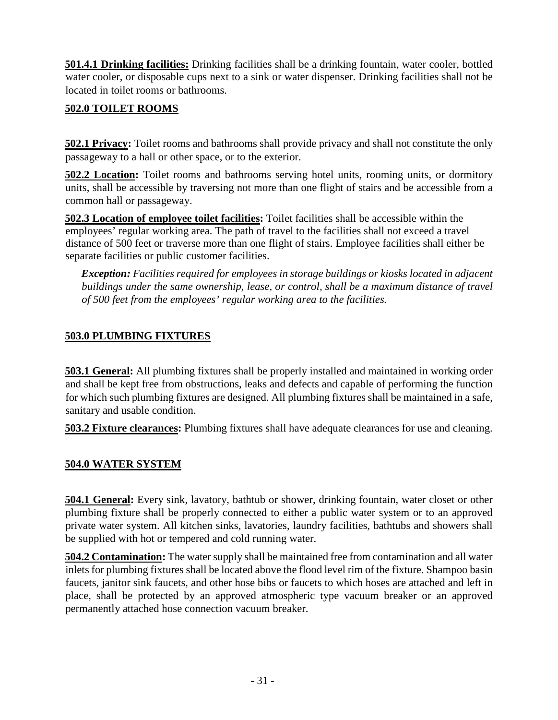**501.4.1 Drinking facilities:** Drinking facilities shall be a drinking fountain, water cooler, bottled water cooler, or disposable cups next to a sink or water dispenser. Drinking facilities shall not be located in toilet rooms or bathrooms.

# **502.0 TOILET ROOMS**

**502.1 Privacy:** Toilet rooms and bathrooms shall provide privacy and shall not constitute the only passageway to a hall or other space, or to the exterior.

**502.2 Location:** Toilet rooms and bathrooms serving hotel units, rooming units, or dormitory units, shall be accessible by traversing not more than one flight of stairs and be accessible from a common hall or passageway.

**502.3 Location of employee toilet facilities:** Toilet facilities shall be accessible within the employees' regular working area. The path of travel to the facilities shall not exceed a travel distance of 500 feet or traverse more than one flight of stairs. Employee facilities shall either be separate facilities or public customer facilities.

*Exception: Facilities required for employees in storage buildings or kiosks located in adjacent*  buildings under the same ownership, lease, or control, shall be a maximum distance of travel *of 500 feet from the employees' regular working area to the facilities.*

#### **503.0 PLUMBING FIXTURES**

**503.1 General:** All plumbing fixtures shall be properly installed and maintained in working order and shall be kept free from obstructions, leaks and defects and capable of performing the function for which such plumbing fixtures are designed. All plumbing fixtures shall be maintained in a safe, sanitary and usable condition.

**503.2 Fixture clearances:** Plumbing fixtures shall have adequate clearances for use and cleaning.

#### **504.0 WATER SYSTEM**

**504.1 General:** Every sink, lavatory, bathtub or shower, drinking fountain, water closet or other plumbing fixture shall be properly connected to either a public water system or to an approved private water system. All kitchen sinks, lavatories, laundry facilities, bathtubs and showers shall be supplied with hot or tempered and cold running water.

**504.2 Contamination:** The water supply shall be maintained free from contamination and all water inlets for plumbing fixtures shall be located above the flood level rim of the fixture. Shampoo basin faucets, janitor sink faucets, and other hose bibs or faucets to which hoses are attached and left in place, shall be protected by an approved atmospheric type vacuum breaker or an approved permanently attached hose connection vacuum breaker.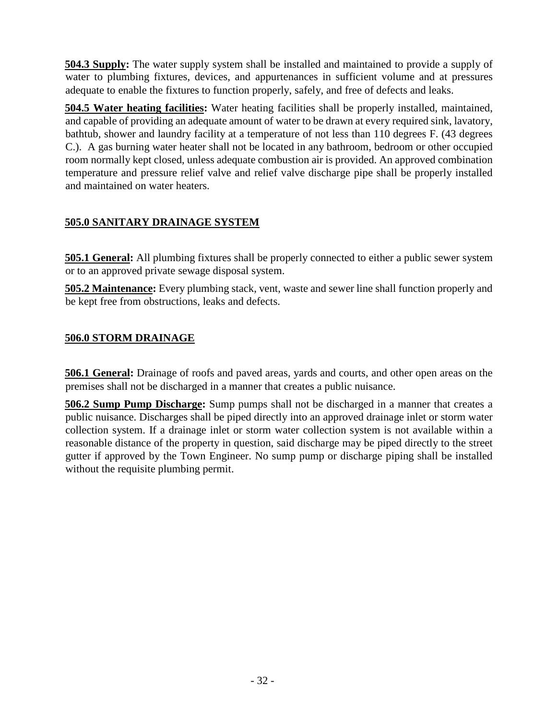**504.3 Supply:** The water supply system shall be installed and maintained to provide a supply of water to plumbing fixtures, devices, and appurtenances in sufficient volume and at pressures adequate to enable the fixtures to function properly, safely, and free of defects and leaks.

**504.5 Water heating facilities:** Water heating facilities shall be properly installed, maintained, and capable of providing an adequate amount of water to be drawn at every required sink, lavatory, bathtub, shower and laundry facility at a temperature of not less than 110 degrees F. (43 degrees C.). A gas burning water heater shall not be located in any bathroom, bedroom or other occupied room normally kept closed, unless adequate combustion air is provided. An approved combination temperature and pressure relief valve and relief valve discharge pipe shall be properly installed and maintained on water heaters.

# **505.0 SANITARY DRAINAGE SYSTEM**

**505.1 General:** All plumbing fixtures shall be properly connected to either a public sewer system or to an approved private sewage disposal system.

**505.2 Maintenance:** Every plumbing stack, vent, waste and sewer line shall function properly and be kept free from obstructions, leaks and defects.

# **506.0 STORM DRAINAGE**

**506.1 General:** Drainage of roofs and paved areas, yards and courts, and other open areas on the premises shall not be discharged in a manner that creates a public nuisance.

**506.2 Sump Pump Discharge:** Sump pumps shall not be discharged in a manner that creates a public nuisance. Discharges shall be piped directly into an approved drainage inlet or storm water collection system. If a drainage inlet or storm water collection system is not available within a reasonable distance of the property in question, said discharge may be piped directly to the street gutter if approved by the Town Engineer. No sump pump or discharge piping shall be installed without the requisite plumbing permit.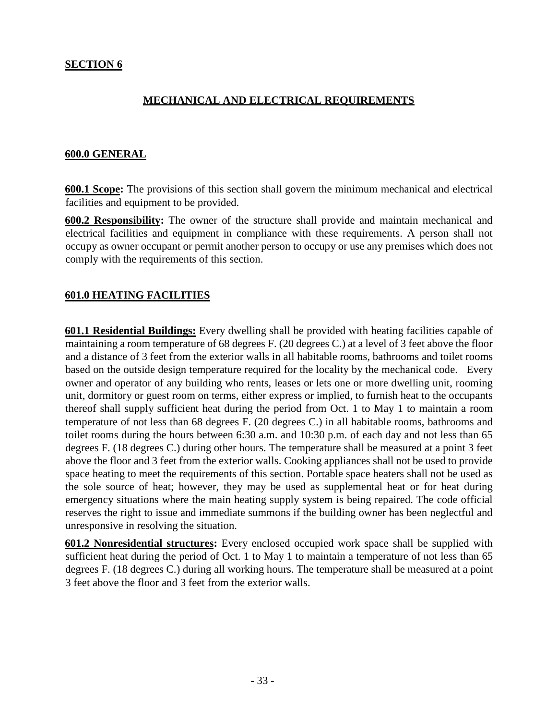#### **MECHANICAL AND ELECTRICAL REQUIREMENTS**

#### **600.0 GENERAL**

**600.1 Scope:** The provisions of this section shall govern the minimum mechanical and electrical facilities and equipment to be provided.

**600.2 Responsibility:** The owner of the structure shall provide and maintain mechanical and electrical facilities and equipment in compliance with these requirements. A person shall not occupy as owner occupant or permit another person to occupy or use any premises which does not comply with the requirements of this section.

#### **601.0 HEATING FACILITIES**

**601.1 Residential Buildings:** Every dwelling shall be provided with heating facilities capable of maintaining a room temperature of 68 degrees F. (20 degrees C.) at a level of 3 feet above the floor and a distance of 3 feet from the exterior walls in all habitable rooms, bathrooms and toilet rooms based on the outside design temperature required for the locality by the mechanical code. Every owner and operator of any building who rents, leases or lets one or more dwelling unit, rooming unit, dormitory or guest room on terms, either express or implied, to furnish heat to the occupants thereof shall supply sufficient heat during the period from Oct. 1 to May 1 to maintain a room temperature of not less than 68 degrees F. (20 degrees C.) in all habitable rooms, bathrooms and toilet rooms during the hours between 6:30 a.m. and 10:30 p.m. of each day and not less than 65 degrees F. (18 degrees C.) during other hours. The temperature shall be measured at a point 3 feet above the floor and 3 feet from the exterior walls. Cooking appliances shall not be used to provide space heating to meet the requirements of this section. Portable space heaters shall not be used as the sole source of heat; however, they may be used as supplemental heat or for heat during emergency situations where the main heating supply system is being repaired. The code official reserves the right to issue and immediate summons if the building owner has been neglectful and unresponsive in resolving the situation.

**601.2 Nonresidential structures:** Every enclosed occupied work space shall be supplied with sufficient heat during the period of Oct. 1 to May 1 to maintain a temperature of not less than 65 degrees F. (18 degrees C.) during all working hours. The temperature shall be measured at a point 3 feet above the floor and 3 feet from the exterior walls.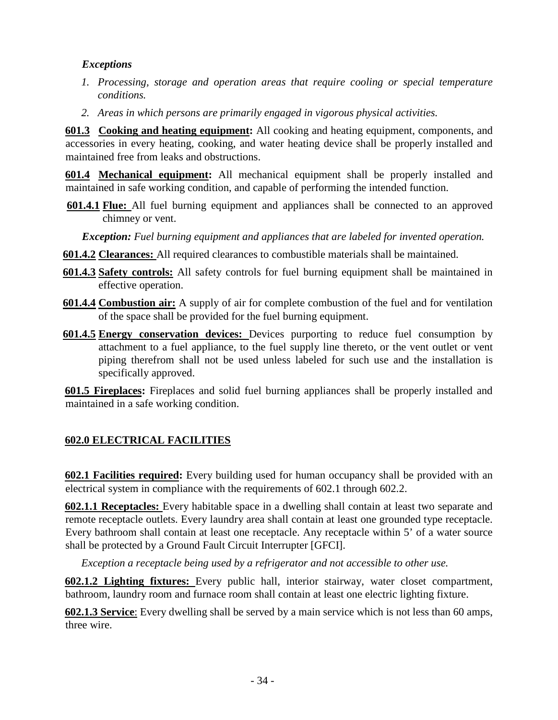#### *Exceptions*

- *1. Processing, storage and operation areas that require cooling or special temperature conditions.*
- *2. Areas in which persons are primarily engaged in vigorous physical activities.*

**601.3 Cooking and heating equipment:** All cooking and heating equipment, components, and accessories in every heating, cooking, and water heating device shall be properly installed and maintained free from leaks and obstructions.

**601.4 Mechanical equipment:** All mechanical equipment shall be properly installed and maintained in safe working condition, and capable of performing the intended function.

**601.4.1 Flue:** All fuel burning equipment and appliances shall be connected to an approved chimney or vent.

*Exception: Fuel burning equipment and appliances that are labeled for invented operation.*

- **601.4.2 Clearances:** All required clearances to combustible materials shall be maintained.
- **601.4.3 Safety controls:** All safety controls for fuel burning equipment shall be maintained in effective operation.
- **601.4.4 Combustion air:** A supply of air for complete combustion of the fuel and for ventilation of the space shall be provided for the fuel burning equipment.
- **601.4.5 Energy conservation devices:** Devices purporting to reduce fuel consumption by attachment to a fuel appliance, to the fuel supply line thereto, or the vent outlet or vent piping therefrom shall not be used unless labeled for such use and the installation is specifically approved.

**601.5 Fireplaces:** Fireplaces and solid fuel burning appliances shall be properly installed and maintained in a safe working condition.

# **602.0 ELECTRICAL FACILITIES**

**602.1 Facilities required:** Every building used for human occupancy shall be provided with an electrical system in compliance with the requirements of 602.1 through 602.2.

**602.1.1 Receptacles:** Every habitable space in a dwelling shall contain at least two separate and remote receptacle outlets. Every laundry area shall contain at least one grounded type receptacle. Every bathroom shall contain at least one receptacle. Any receptacle within 5' of a water source shall be protected by a Ground Fault Circuit Interrupter [GFCI].

*Exception a receptacle being used by a refrigerator and not accessible to other use.* 

**602.1.2 Lighting fixtures:** Every public hall, interior stairway, water closet compartment, bathroom, laundry room and furnace room shall contain at least one electric lighting fixture.

**602.1.3 Service**: Every dwelling shall be served by a main service which is not less than 60 amps, three wire.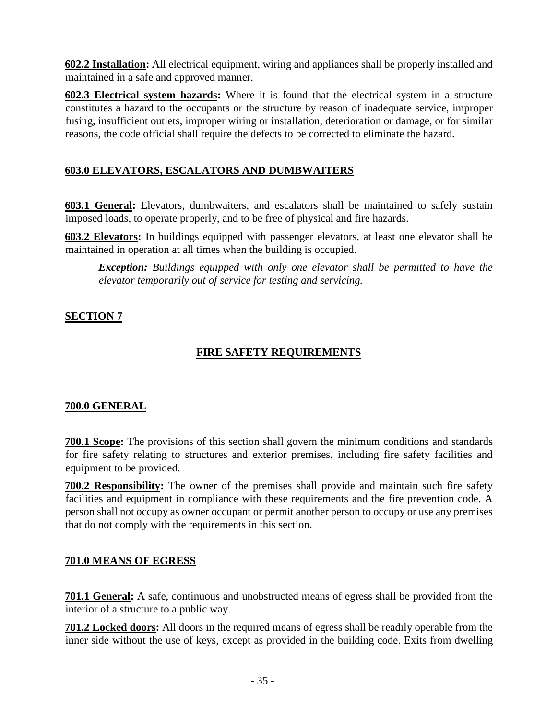**602.2 Installation:** All electrical equipment, wiring and appliances shall be properly installed and maintained in a safe and approved manner.

**602.3 Electrical system hazards:** Where it is found that the electrical system in a structure constitutes a hazard to the occupants or the structure by reason of inadequate service, improper fusing, insufficient outlets, improper wiring or installation, deterioration or damage, or for similar reasons, the code official shall require the defects to be corrected to eliminate the hazard.

# **603.0 ELEVATORS, ESCALATORS AND DUMBWAITERS**

**603.1 General:** Elevators, dumbwaiters, and escalators shall be maintained to safely sustain imposed loads, to operate properly, and to be free of physical and fire hazards.

**603.2 Elevators:** In buildings equipped with passenger elevators, at least one elevator shall be maintained in operation at all times when the building is occupied.

*Exception: Buildings equipped with only one elevator shall be permitted to have the elevator temporarily out of service for testing and servicing.*

#### **SECTION 7**

# **FIRE SAFETY REQUIREMENTS**

#### **700.0 GENERAL**

**700.1 Scope:** The provisions of this section shall govern the minimum conditions and standards for fire safety relating to structures and exterior premises, including fire safety facilities and equipment to be provided.

**700.2 Responsibility:** The owner of the premises shall provide and maintain such fire safety facilities and equipment in compliance with these requirements and the fire prevention code. A person shall not occupy as owner occupant or permit another person to occupy or use any premises that do not comply with the requirements in this section.

#### **701.0 MEANS OF EGRESS**

**701.1 General:** A safe, continuous and unobstructed means of egress shall be provided from the interior of a structure to a public way.

**701.2 Locked doors:** All doors in the required means of egress shall be readily operable from the inner side without the use of keys, except as provided in the building code. Exits from dwelling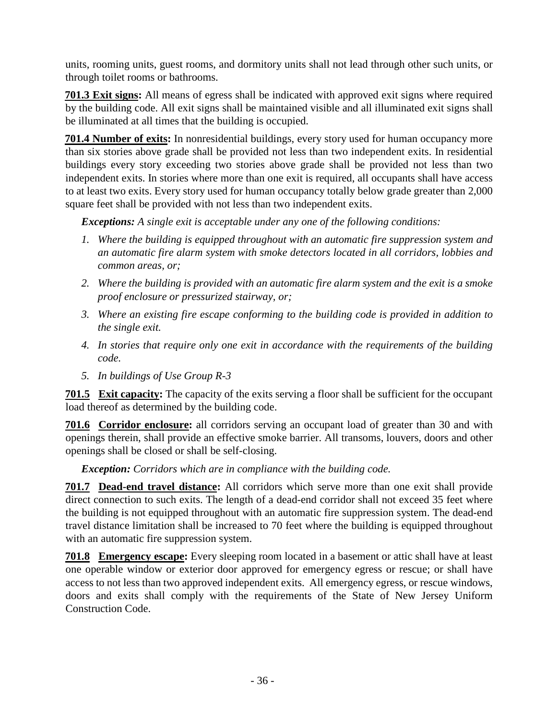units, rooming units, guest rooms, and dormitory units shall not lead through other such units, or through toilet rooms or bathrooms.

**701.3 Exit signs:** All means of egress shall be indicated with approved exit signs where required by the building code. All exit signs shall be maintained visible and all illuminated exit signs shall be illuminated at all times that the building is occupied.

**701.4 Number of exits:** In nonresidential buildings, every story used for human occupancy more than six stories above grade shall be provided not less than two independent exits. In residential buildings every story exceeding two stories above grade shall be provided not less than two independent exits. In stories where more than one exit is required, all occupants shall have access to at least two exits. Every story used for human occupancy totally below grade greater than 2,000 square feet shall be provided with not less than two independent exits.

*Exceptions: A single exit is acceptable under any one of the following conditions:*

- *1. Where the building is equipped throughout with an automatic fire suppression system and an automatic fire alarm system with smoke detectors located in all corridors, lobbies and common areas, or;*
- *2. Where the building is provided with an automatic fire alarm system and the exit is a smoke proof enclosure or pressurized stairway, or;*
- *3. Where an existing fire escape conforming to the building code is provided in addition to the single exit.*
- *4. In stories that require only one exit in accordance with the requirements of the building code.*
- *5. In buildings of Use Group R-3*

**701.5 Exit capacity:** The capacity of the exits serving a floor shall be sufficient for the occupant load thereof as determined by the building code.

**701.6 Corridor enclosure:** all corridors serving an occupant load of greater than 30 and with openings therein, shall provide an effective smoke barrier. All transoms, louvers, doors and other openings shall be closed or shall be self-closing.

*Exception: Corridors which are in compliance with the building code.*

**701.7 Dead-end travel distance:** All corridors which serve more than one exit shall provide direct connection to such exits. The length of a dead-end corridor shall not exceed 35 feet where the building is not equipped throughout with an automatic fire suppression system. The dead-end travel distance limitation shall be increased to 70 feet where the building is equipped throughout with an automatic fire suppression system.

**701.8 Emergency escape:** Every sleeping room located in a basement or attic shall have at least one operable window or exterior door approved for emergency egress or rescue; or shall have access to not less than two approved independent exits. All emergency egress, or rescue windows, doors and exits shall comply with the requirements of the State of New Jersey Uniform Construction Code.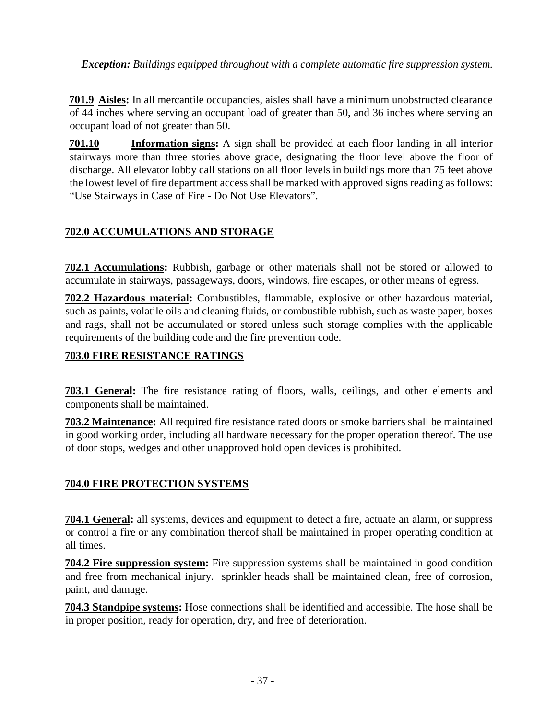*Exception: Buildings equipped throughout with a complete automatic fire suppression system.*

**701.9 Aisles:** In all mercantile occupancies, aisles shall have a minimum unobstructed clearance of 44 inches where serving an occupant load of greater than 50, and 36 inches where serving an occupant load of not greater than 50.

**701.10 Information signs:** A sign shall be provided at each floor landing in all interior stairways more than three stories above grade, designating the floor level above the floor of discharge. All elevator lobby call stations on all floor levels in buildings more than 75 feet above the lowest level of fire department access shall be marked with approved signs reading as follows: "Use Stairways in Case of Fire - Do Not Use Elevators".

#### **702.0 ACCUMULATIONS AND STORAGE**

**702.1 Accumulations:** Rubbish, garbage or other materials shall not be stored or allowed to accumulate in stairways, passageways, doors, windows, fire escapes, or other means of egress.

**702.2 Hazardous material:** Combustibles, flammable, explosive or other hazardous material, such as paints, volatile oils and cleaning fluids, or combustible rubbish, such as waste paper, boxes and rags, shall not be accumulated or stored unless such storage complies with the applicable requirements of the building code and the fire prevention code.

#### **703.0 FIRE RESISTANCE RATINGS**

**703.1 General:** The fire resistance rating of floors, walls, ceilings, and other elements and components shall be maintained.

**703.2 Maintenance:** All required fire resistance rated doors or smoke barriers shall be maintained in good working order, including all hardware necessary for the proper operation thereof. The use of door stops, wedges and other unapproved hold open devices is prohibited.

#### **704.0 FIRE PROTECTION SYSTEMS**

**704.1 General:** all systems, devices and equipment to detect a fire, actuate an alarm, or suppress or control a fire or any combination thereof shall be maintained in proper operating condition at all times.

**704.2 Fire suppression system:** Fire suppression systems shall be maintained in good condition and free from mechanical injury. sprinkler heads shall be maintained clean, free of corrosion, paint, and damage.

**704.3 Standpipe systems:** Hose connections shall be identified and accessible. The hose shall be in proper position, ready for operation, dry, and free of deterioration.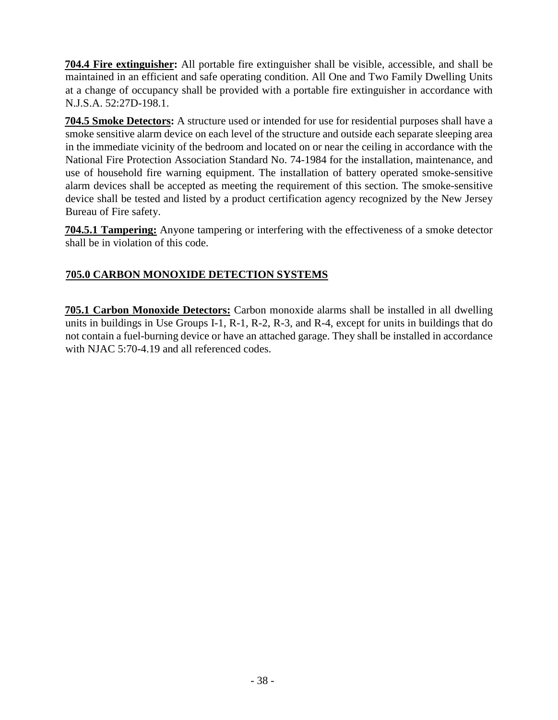**704.4 Fire extinguisher:** All portable fire extinguisher shall be visible, accessible, and shall be maintained in an efficient and safe operating condition. All One and Two Family Dwelling Units at a change of occupancy shall be provided with a portable fire extinguisher in accordance with N.J.S.A. 52:27D-198.1.

**704.5 Smoke Detectors:** A structure used or intended for use for residential purposes shall have a smoke sensitive alarm device on each level of the structure and outside each separate sleeping area in the immediate vicinity of the bedroom and located on or near the ceiling in accordance with the National Fire Protection Association Standard No. 74-1984 for the installation, maintenance, and use of household fire warning equipment. The installation of battery operated smoke-sensitive alarm devices shall be accepted as meeting the requirement of this section. The smoke-sensitive device shall be tested and listed by a product certification agency recognized by the New Jersey Bureau of Fire safety.

**704.5.1 Tampering:** Anyone tampering or interfering with the effectiveness of a smoke detector shall be in violation of this code.

# **705.0 CARBON MONOXIDE DETECTION SYSTEMS**

**705.1 Carbon Monoxide Detectors:** Carbon monoxide alarms shall be installed in all dwelling units in buildings in Use Groups I-1, R-1, R-2, R-3, and R-4, except for units in buildings that do not contain a fuel-burning device or have an attached garage. They shall be installed in accordance with NJAC 5:70-4.19 and all referenced codes.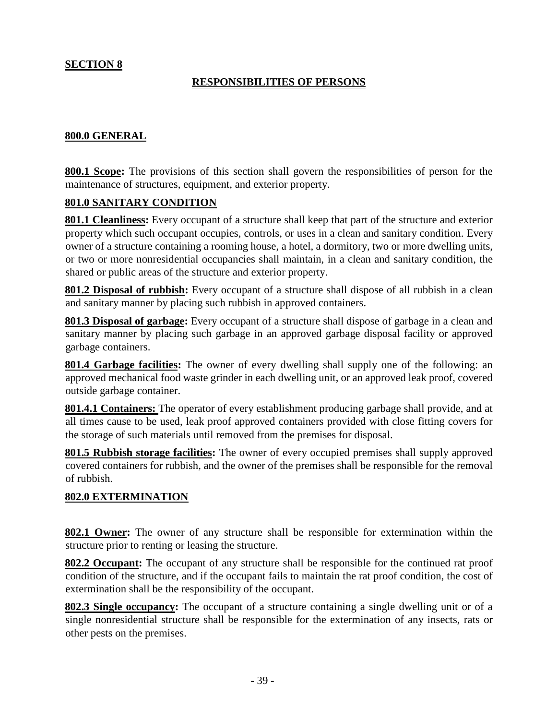#### **SECTION 8**

#### **RESPONSIBILITIES OF PERSONS**

#### **800.0 GENERAL**

**800.1 Scope:** The provisions of this section shall govern the responsibilities of person for the maintenance of structures, equipment, and exterior property.

#### **801.0 SANITARY CONDITION**

**801.1 Cleanliness:** Every occupant of a structure shall keep that part of the structure and exterior property which such occupant occupies, controls, or uses in a clean and sanitary condition. Every owner of a structure containing a rooming house, a hotel, a dormitory, two or more dwelling units, or two or more nonresidential occupancies shall maintain, in a clean and sanitary condition, the shared or public areas of the structure and exterior property.

**801.2 Disposal of rubbish:** Every occupant of a structure shall dispose of all rubbish in a clean and sanitary manner by placing such rubbish in approved containers.

**801.3 Disposal of garbage:** Every occupant of a structure shall dispose of garbage in a clean and sanitary manner by placing such garbage in an approved garbage disposal facility or approved garbage containers.

**801.4 Garbage facilities:** The owner of every dwelling shall supply one of the following: an approved mechanical food waste grinder in each dwelling unit, or an approved leak proof, covered outside garbage container.

**801.4.1 Containers:** The operator of every establishment producing garbage shall provide, and at all times cause to be used, leak proof approved containers provided with close fitting covers for the storage of such materials until removed from the premises for disposal.

**801.5 Rubbish storage facilities:** The owner of every occupied premises shall supply approved covered containers for rubbish, and the owner of the premises shall be responsible for the removal of rubbish.

#### **802.0 EXTERMINATION**

**802.1 Owner:** The owner of any structure shall be responsible for extermination within the structure prior to renting or leasing the structure.

**802.2 Occupant:** The occupant of any structure shall be responsible for the continued rat proof condition of the structure, and if the occupant fails to maintain the rat proof condition, the cost of extermination shall be the responsibility of the occupant.

**802.3 Single occupancy:** The occupant of a structure containing a single dwelling unit or of a single nonresidential structure shall be responsible for the extermination of any insects, rats or other pests on the premises.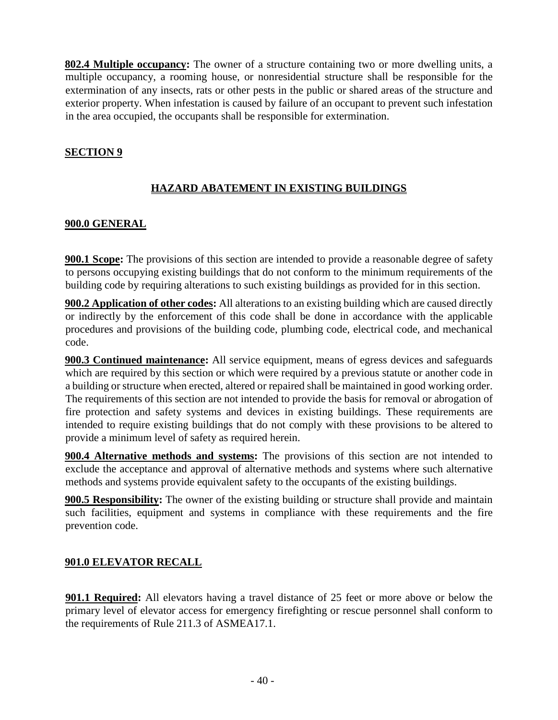**802.4 Multiple occupancy:** The owner of a structure containing two or more dwelling units, a multiple occupancy, a rooming house, or nonresidential structure shall be responsible for the extermination of any insects, rats or other pests in the public or shared areas of the structure and exterior property. When infestation is caused by failure of an occupant to prevent such infestation in the area occupied, the occupants shall be responsible for extermination.

#### **SECTION 9**

#### **HAZARD ABATEMENT IN EXISTING BUILDINGS**

#### **900.0 GENERAL**

**900.1 Scope:** The provisions of this section are intended to provide a reasonable degree of safety to persons occupying existing buildings that do not conform to the minimum requirements of the building code by requiring alterations to such existing buildings as provided for in this section.

**900.2 Application of other codes:** All alterations to an existing building which are caused directly or indirectly by the enforcement of this code shall be done in accordance with the applicable procedures and provisions of the building code, plumbing code, electrical code, and mechanical code.

**900.3 Continued maintenance:** All service equipment, means of egress devices and safeguards which are required by this section or which were required by a previous statute or another code in a building or structure when erected, altered or repaired shall be maintained in good working order. The requirements of this section are not intended to provide the basis for removal or abrogation of fire protection and safety systems and devices in existing buildings. These requirements are intended to require existing buildings that do not comply with these provisions to be altered to provide a minimum level of safety as required herein.

**900.4 Alternative methods and systems:** The provisions of this section are not intended to exclude the acceptance and approval of alternative methods and systems where such alternative methods and systems provide equivalent safety to the occupants of the existing buildings.

**900.5 Responsibility:** The owner of the existing building or structure shall provide and maintain such facilities, equipment and systems in compliance with these requirements and the fire prevention code.

#### **901.0 ELEVATOR RECALL**

**901.1 Required:** All elevators having a travel distance of 25 feet or more above or below the primary level of elevator access for emergency firefighting or rescue personnel shall conform to the requirements of Rule 211.3 of ASMEA17.1.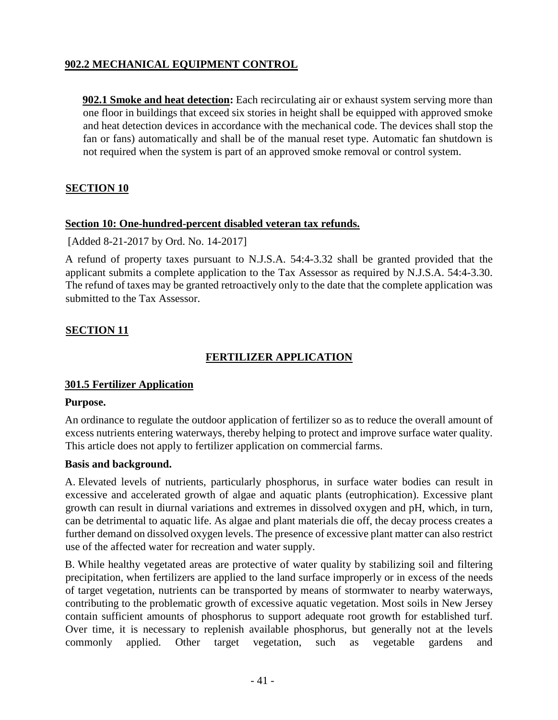#### **902.2 MECHANICAL EQUIPMENT CONTROL**

**902.1 Smoke and heat detection:** Each recirculating air or exhaust system serving more than one floor in buildings that exceed six stories in height shall be equipped with approved smoke and heat detection devices in accordance with the mechanical code. The devices shall stop the fan or fans) automatically and shall be of the manual reset type. Automatic fan shutdown is not required when the system is part of an approved smoke removal or control system.

#### **SECTION 10**

#### **Section 10: One-hundred-percent disabled veteran tax refunds.**

[Added 8-21-2017 by Ord. No. 14-2017]

A refund of property taxes pursuant to N.J.S.A. 54:4-3.32 shall be granted provided that the applicant submits a complete application to the Tax Assessor as required by N.J.S.A. 54:4-3.30. The refund of taxes may be granted retroactively only to the date that the complete application was submitted to the Tax Assessor.

#### **SECTION 11**

#### **FERTILIZER APPLICATION**

#### **301.5 Fertilizer Application**

#### **[Purpose.](https://ecode360.com/13886590#13886590)**

An ordinance to regulate the outdoor application of fertilizer so as to reduce the overall amount of excess nutrients entering waterways, thereby helping to protect and improve surface water quality. This article does not apply to fertilizer application on commercial farms.

#### **[Basis and background.](https://ecode360.com/13886590#13886591)**

[A. E](https://ecode360.com/13886592#13886592)levated levels of nutrients, particularly phosphorus, in surface water bodies can result in excessive and accelerated growth of algae and aquatic plants (eutrophication). Excessive plant growth can result in diurnal variations and extremes in dissolved oxygen and pH, which, in turn, can be detrimental to aquatic life. As algae and plant materials die off, the decay process creates a further demand on dissolved oxygen levels. The presence of excessive plant matter can also restrict use of the affected water for recreation and water supply.

[B. W](https://ecode360.com/13886593#13886593)hile healthy vegetated areas are protective of water quality by stabilizing soil and filtering precipitation, when fertilizers are applied to the land surface improperly or in excess of the needs of target vegetation, nutrients can be transported by means of stormwater to nearby waterways, contributing to the problematic growth of excessive aquatic vegetation. Most soils in New Jersey contain sufficient amounts of phosphorus to support adequate root growth for established turf. Over time, it is necessary to replenish available phosphorus, but generally not at the levels commonly applied. Other target vegetation, such as vegetable gardens and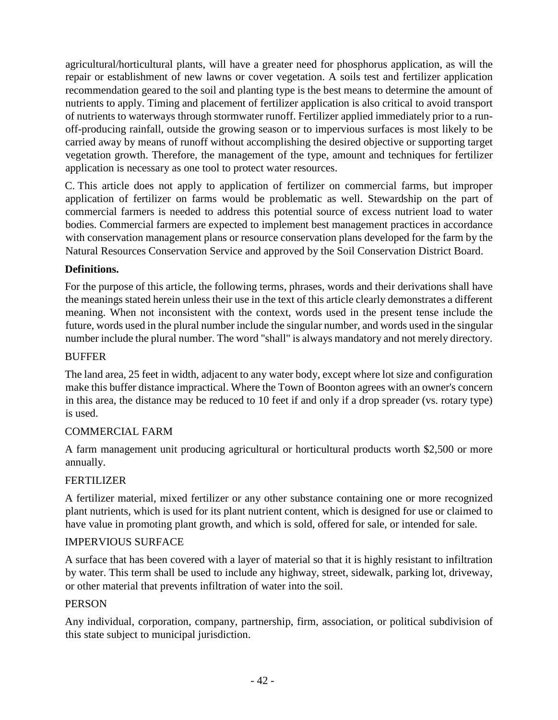agricultural/horticultural plants, will have a greater need for phosphorus application, as will the repair or establishment of new lawns or cover vegetation. A soils test and fertilizer application recommendation geared to the soil and planting type is the best means to determine the amount of nutrients to apply. Timing and placement of fertilizer application is also critical to avoid transport of nutrients to waterways through stormwater runoff. Fertilizer applied immediately prior to a runoff-producing rainfall, outside the growing season or to impervious surfaces is most likely to be carried away by means of runoff without accomplishing the desired objective or supporting target vegetation growth. Therefore, the management of the type, amount and techniques for fertilizer application is necessary as one tool to protect water resources.

[C. T](https://ecode360.com/13886594#13886594)his article does not apply to application of fertilizer on commercial farms, but improper application of fertilizer on farms would be problematic as well. Stewardship on the part of commercial farmers is needed to address this potential source of excess nutrient load to water bodies. Commercial farmers are expected to implement best management practices in accordance with conservation management plans or resource conservation plans developed for the farm by the Natural Resources Conservation Service and approved by the Soil Conservation District Board.

#### **[Definitions.](https://ecode360.com/13886590#13886595)**

For the purpose of this article, the following terms, phrases, words and their derivations shall have the meanings stated herein unless their use in the text of this article clearly demonstrates a different meaning. When not inconsistent with the context, words used in the present tense include the future, words used in the plural number include the singular number, and words used in the singular number include the plural number. The word "shall" is always mandatory and not merely directory.

#### **[BUFFER](https://ecode360.com/13886596#13886596)**

The land area, 25 feet in width, adjacent to any water body, except where lot size and configuration make this buffer distance impractical. Where the Town of Boonton agrees with an owner's concern in this area, the distance may be reduced to 10 feet if and only if a drop spreader (vs. rotary type) is used.

#### [COMMERCIAL FARM](https://ecode360.com/13886597#13886597)

A farm management unit producing agricultural or horticultural products worth \$2,500 or more annually.

#### [FERTILIZER](https://ecode360.com/13886598#13886598)

A fertilizer material, mixed fertilizer or any other substance containing one or more recognized plant nutrients, which is used for its plant nutrient content, which is designed for use or claimed to have value in promoting plant growth, and which is sold, offered for sale, or intended for sale.

#### [IMPERVIOUS SURFACE](https://ecode360.com/13886599#13886599)

A surface that has been covered with a layer of material so that it is highly resistant to infiltration by water. This term shall be used to include any highway, street, sidewalk, parking lot, driveway, or other material that prevents infiltration of water into the soil.

#### **[PERSON](https://ecode360.com/13886600#13886600)**

Any individual, corporation, company, partnership, firm, association, or political subdivision of this state subject to municipal jurisdiction.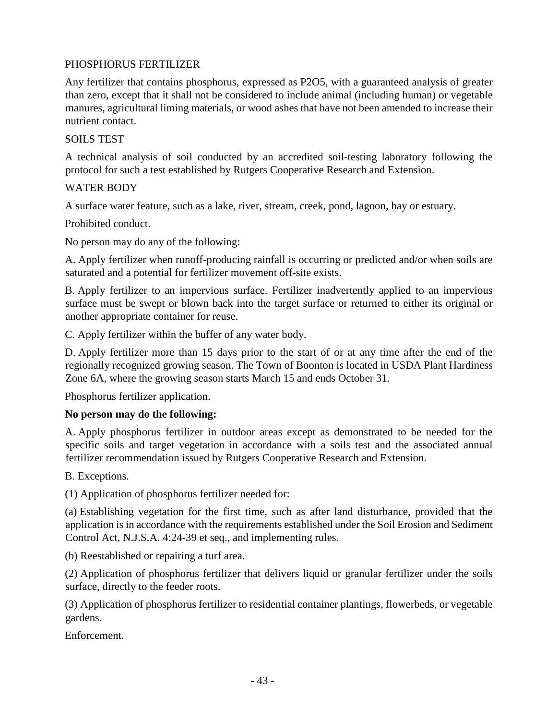#### [PHOSPHORUS FERTILIZER](https://ecode360.com/13886601#13886601)

Any fertilizer that contains phosphorus, expressed as P2O5, with a guaranteed analysis of greater than zero, except that it shall not be considered to include animal (including human) or vegetable manures, agricultural liming materials, or wood ashes that have not been amended to increase their nutrient contact.

#### [SOILS TEST](https://ecode360.com/13886602#13886602)

A technical analysis of soil conducted by an accredited soil-testing laboratory following the protocol for such a test established by Rutgers Cooperative Research and Extension.

#### [WATER BODY](https://ecode360.com/13886603#13886603)

A surface water feature, such as a lake, river, stream, creek, pond, lagoon, bay or estuary.

[Prohibited conduct.](https://ecode360.com/13886590#13886604)

No person may do any of the following:

[A. A](https://ecode360.com/13886605#13886605)pply fertilizer when runoff-producing rainfall is occurring or predicted and/or when soils are saturated and a potential for fertilizer movement off-site exists.

[B. A](https://ecode360.com/13886606#13886606)pply fertilizer to an impervious surface. Fertilizer inadvertently applied to an impervious surface must be swept or blown back into the target surface or returned to either its original or another appropriate container for reuse.

[C. A](https://ecode360.com/13886607#13886607)pply fertilizer within the buffer of any water body.

[D. A](https://ecode360.com/13886608#13886608)pply fertilizer more than 15 days prior to the start of or at any time after the end of the regionally recognized growing season. The Town of Boonton is located in USDA Plant Hardiness Zone 6A, where the growing season starts March 15 and ends October 31.

[Phosphorus fertilizer application.](https://ecode360.com/13886590#13886609)

#### **No person may do the following:**

[A. A](https://ecode360.com/13886610#13886610)pply phosphorus fertilizer in outdoor areas except as demonstrated to be needed for the specific soils and target vegetation in accordance with a soils test and the associated annual fertilizer recommendation issued by Rutgers Cooperative Research and Extension.

[B. E](https://ecode360.com/13886611#13886611)xceptions.

[\(1\) A](https://ecode360.com/13886612#13886612)pplication of phosphorus fertilizer needed for:

[\(a\) E](https://ecode360.com/13886613#13886613)stablishing vegetation for the first time, such as after land disturbance, provided that the application is in accordance with the requirements established under the Soil Erosion and Sediment Control Act, N.J.S.A. 4:24-39 et seq., and implementing rules.

[\(b\) R](https://ecode360.com/13886614#13886614)eestablished or repairing a turf area.

[\(2\) A](https://ecode360.com/13886615#13886615)pplication of phosphorus fertilizer that delivers liquid or granular fertilizer under the soils surface, directly to the feeder roots.

[\(3\) A](https://ecode360.com/13886616#13886616)pplication of phosphorus fertilizer to residential container plantings, flowerbeds, or vegetable gardens.

[Enforcement.](https://ecode360.com/13886590#13886617)